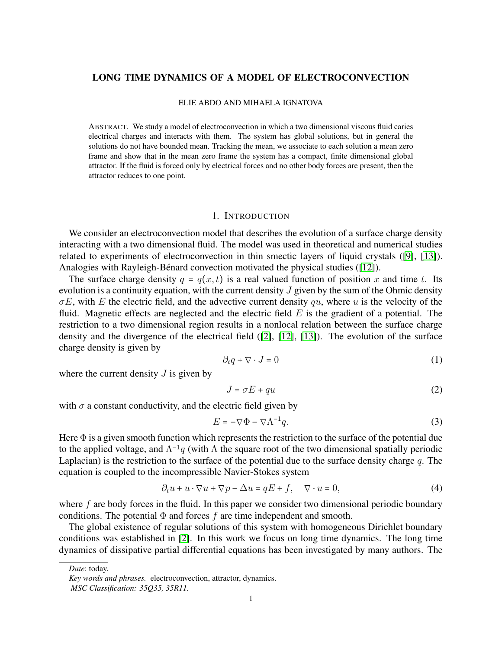## LONG TIME DYNAMICS OF A MODEL OF ELECTROCONVECTION

#### ELIE ABDO AND MIHAELA IGNATOVA

ABSTRACT. We study a model of electroconvection in which a two dimensional viscous fluid caries electrical charges and interacts with them. The system has global solutions, but in general the solutions do not have bounded mean. Tracking the mean, we associate to each solution a mean zero frame and show that in the mean zero frame the system has a compact, finite dimensional global attractor. If the fluid is forced only by electrical forces and no other body forces are present, then the attractor reduces to one point.

#### 1. INTRODUCTION

We consider an electroconvection model that describes the evolution of a surface charge density interacting with a two dimensional fluid. The model was used in theoretical and numerical studies related to experiments of electroconvection in thin smectic layers of liquid crystals ([\[9\]](#page-24-0), [\[13\]](#page-24-1)). Analogies with Rayleigh-Bénard convection motivated the physical studies ([\[12\]](#page-24-2)).

The surface charge density  $q = q(x, t)$  is a real valued function of position x and time t. Its evolution is a continuity equation, with the current density  $J$  given by the sum of the Ohmic density  $\sigma E$ , with E the electric field, and the advective current density qu, where u is the velocity of the fluid. Magnetic effects are neglected and the electric field  $E$  is the gradient of a potential. The restriction to a two dimensional region results in a nonlocal relation between the surface charge density and the divergence of the electrical field ([\[2\]](#page-24-3), [\[12\]](#page-24-2), [\[13\]](#page-24-1)). The evolution of the surface charge density is given by

<span id="page-0-0"></span>
$$
\partial_t q + \nabla \cdot J = 0 \tag{1}
$$

where the current density  $J$  is given by

<span id="page-0-1"></span>
$$
J = \sigma E + qu \tag{2}
$$

with  $\sigma$  a constant conductivity, and the electric field given by

<span id="page-0-2"></span>
$$
E = -\nabla \Phi - \nabla \Lambda^{-1} q. \tag{3}
$$

Here  $\Phi$  is a given smooth function which represents the restriction to the surface of the potential due to the applied voltage, and  $\Lambda^{-1}q$  (with  $\Lambda$  the square root of the two dimensional spatially periodic Laplacian) is the restriction to the surface of the potential due to the surface density charge  $q$ . The equation is coupled to the incompressible Navier-Stokes system

<span id="page-0-3"></span>
$$
\partial_t u + u \cdot \nabla u + \nabla p - \Delta u = qE + f, \quad \nabla \cdot u = 0,\tag{4}
$$

where  $f$  are body forces in the fluid. In this paper we consider two dimensional periodic boundary conditions. The potential  $\Phi$  and forces f are time independent and smooth.

The global existence of regular solutions of this system with homogeneous Dirichlet boundary conditions was established in [\[2\]](#page-24-3). In this work we focus on long time dynamics. The long time dynamics of dissipative partial differential equations has been investigated by many authors. The

*Date*: today.

*Key words and phrases.* electroconvection, attractor, dynamics.

*MSC Classification: 35Q35, 35R11.*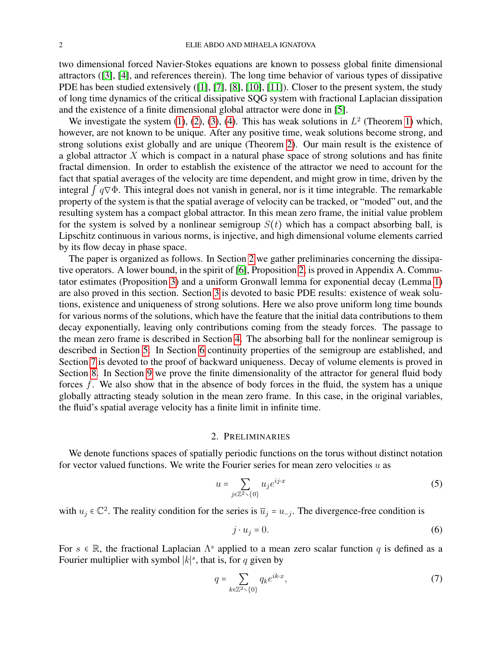two dimensional forced Navier-Stokes equations are known to possess global finite dimensional attractors ([\[3\]](#page-24-4), [\[4\]](#page-24-5), and references therein). The long time behavior of various types of dissipative PDE has been studied extensively ([\[1\]](#page-24-6), [\[7\]](#page-24-7), [\[8\]](#page-24-8), [\[10\]](#page-24-9), [\[11\]](#page-24-10)). Closer to the present system, the study of long time dynamics of the critical dissipative SQG system with fractional Laplacian dissipation and the existence of a finite dimensional global attractor were done in [\[5\]](#page-24-11).

We investigate the system  $(1)$ ,  $(2)$ ,  $(3)$ ,  $(4)$ . This has weak solutions in  $L^2$  (Theorem [1\)](#page-5-0) which, however, are not known to be unique. After any positive time, weak solutions become strong, and strong solutions exist globally and are unique (Theorem [2\)](#page-8-0). Our main result is the existence of a global attractor  $X$  which is compact in a natural phase space of strong solutions and has finite fractal dimension. In order to establish the existence of the attractor we need to account for the fact that spatial averages of the velocity are time dependent, and might grow in time, driven by the integral  $\int q \nabla \Phi$ . This integral does not vanish in general, nor is it time integrable. The remarkable property of the system is that the spatial average of velocity can be tracked, or "moded" out, and the resulting system has a compact global attractor. In this mean zero frame, the initial value problem for the system is solved by a nonlinear semigroup  $S(t)$  which has a compact absorbing ball, is Lipschitz continuous in various norms, is injective, and high dimensional volume elements carried by its flow decay in phase space.

The paper is organized as follows. In Section [2](#page-1-0) we gather preliminaries concerning the dissipative operators. A lower bound, in the spirit of [\[6\]](#page-24-12), Proposition [2,](#page-3-0) is proved in Appendix A. Commutator estimates (Proposition [3\)](#page-3-1) and a uniform Gronwall lemma for exponential decay (Lemma [1\)](#page-4-0) are also proved in this section. Section [3](#page-5-1) is devoted to basic PDE results: existence of weak solutions, existence and uniqueness of strong solutions. Here we also prove uniform long time bounds for various norms of the solutions, which have the feature that the initial data contributions to them decay exponentially, leaving only contributions coming from the steady forces. The passage to the mean zero frame is described in Section [4.](#page-11-0) The absorbing ball for the nonlinear semigroup is described in Section [5.](#page-13-0) In Section [6](#page-14-0) continuity properties of the semigroup are established, and Section [7](#page-16-0) is devoted to the proof of backward uniqueness. Decay of volume elements is proved in Section [8.](#page-19-0) In Section [9](#page-21-0) we prove the finite dimensionality of the attractor for general fluid body forces  $f$ . We also show that in the absence of body forces in the fluid, the system has a unique globally attracting steady solution in the mean zero frame. In this case, in the original variables, the fluid's spatial average velocity has a finite limit in infinite time.

#### 2. PRELIMINARIES

<span id="page-1-0"></span>We denote functions spaces of spatially periodic functions on the torus without distinct notation for vector valued functions. We write the Fourier series for mean zero velocities  $u$  as

$$
u = \sum_{j \in \mathbb{Z}^2 \setminus \{0\}} u_j e^{ij \cdot x} \tag{5}
$$

with  $u_j \in \mathbb{C}^2$ . The reality condition for the series is  $\overline{u}_j = u_{-j}$ . The divergence-free condition is

$$
j \cdot u_j = 0. \tag{6}
$$

For  $s \in \mathbb{R}$ , the fractional Laplacian  $\Lambda^s$  applied to a mean zero scalar function q is defined as a Fourier multiplier with symbol  $|k|$ <sup>s</sup>, that is, for q given by

$$
q = \sum_{k \in \mathbb{Z}^2 \setminus \{0\}} q_k e^{ik \cdot x},\tag{7}
$$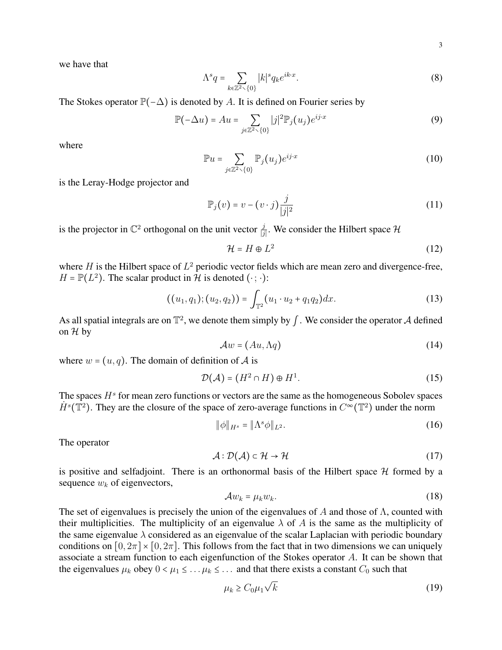we have that

$$
\Lambda^s q = \sum_{k \in \mathbb{Z}^2 \setminus \{0\}} |k|^s q_k e^{ik \cdot x}.\tag{8}
$$

The Stokes operator  $\mathbb{P}(-\Delta)$  is denoted by A. It is defined on Fourier series by

$$
\mathbb{P}(-\Delta u) = Au = \sum_{j \in \mathbb{Z}^2 \setminus \{0\}} |j|^2 \mathbb{P}_j(u_j) e^{ij \cdot x}
$$
(9)

where

$$
\mathbb{P}u = \sum_{j \in \mathbb{Z}^2 \setminus \{0\}} \mathbb{P}_j(u_j) e^{ij \cdot x} \tag{10}
$$

is the Leray-Hodge projector and

$$
\mathbb{P}_j(v) = v - (v \cdot j) \frac{j}{|j|^2} \tag{11}
$$

is the projector in  $\mathbb{C}^2$  orthogonal on the unit vector  $\frac{j}{|j|}$ . We consider the Hilbert space  $\mathcal H$ 

<span id="page-2-1"></span>
$$
\mathcal{H} = H \oplus L^2 \tag{12}
$$

where  $H$  is the Hilbert space of  $L^2$  periodic vector fields which are mean zero and divergence-free,  $H = \mathbb{P}(L^2)$ . The scalar product in H is denoted  $(\cdot; \cdot)$ :

$$
((u_1,q_1);(u_2,q_2)) = \int_{\mathbb{T}^2} (u_1 \cdot u_2 + q_1 q_2) dx.
$$
 (13)

As all spatial integrals are on  $\mathbb{T}^2$ , we denote them simply by  $\int$ . We consider the operator  $\mathcal A$  defined on  $\mathcal H$  by

$$
\mathcal{A}w = (Au, \Lambda q) \tag{14}
$$

where  $w = (u, q)$ . The domain of definition of A is

$$
\mathcal{D}(\mathcal{A}) = (H^2 \cap H) \oplus H^1. \tag{15}
$$

The spaces  $H<sup>s</sup>$  for mean zero functions or vectors are the same as the homogeneous Sobolev spaces  $\dot{H}^s(\mathbb{T}^2)$ . They are the closure of the space of zero-average functions in  $C^{\infty}(\mathbb{T}^2)$  under the norm

$$
\|\phi\|_{H^s} = \|\Lambda^s \phi\|_{L^2}.
$$
 (16)

The operator

$$
\mathcal{A} : \mathcal{D}(\mathcal{A}) \subset \mathcal{H} \to \mathcal{H} \tag{17}
$$

is positive and selfadjoint. There is an orthonormal basis of the Hilbert space  $H$  formed by a sequence  $w_k$  of eigenvectors,

$$
\mathcal{A}w_k = \mu_k w_k. \tag{18}
$$

The set of eigenvalues is precisely the union of the eigenvalues of A and those of  $\Lambda$ , counted with their multiplicities. The multiplicity of an eigenvalue  $\lambda$  of A is the same as the multiplicity of the same eigenvalue  $\lambda$  considered as an eigenvalue of the scalar Laplacian with periodic boundary conditions on  $[0, 2\pi] \times [0, 2\pi]$ . This follows from the fact that in two dimensions we can uniquely associate a stream function to each eigenfunction of the Stokes operator A. It can be shown that the eigenvalues  $\mu_k$  obey  $0 < \mu_1 \leq \ldots \mu_k \leq \ldots$  and that there exists a constant  $C_0$  such that

<span id="page-2-0"></span>
$$
\mu_k \ge C_0 \mu_1 \sqrt{k} \tag{19}
$$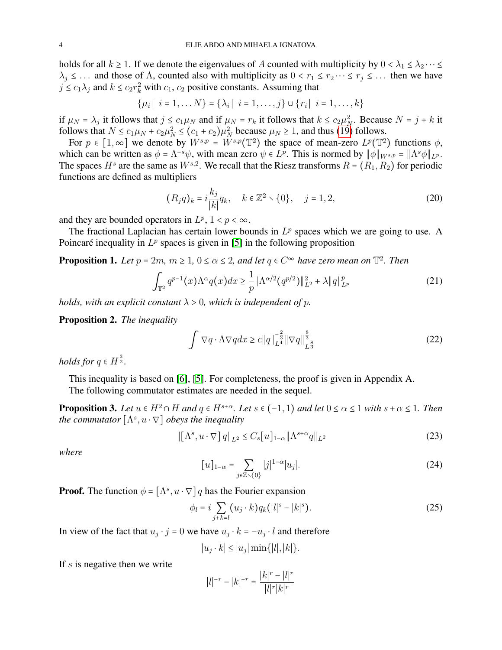holds for all  $k \ge 1$ . If we denote the eigenvalues of A counted with multiplicity by  $0 < \lambda_1 \le \lambda_2 \cdots \le$  $\lambda_j \leq \ldots$  and those of  $\Lambda$ , counted also with multiplicity as  $0 < r_1 \leq r_2 \cdots \leq r_j \leq \ldots$  then we have  $j \le c_1 \lambda_j$  and  $k \le c_2 r_k^2$  with  $c_1, c_2$  positive constants. Assuming that

$$
\{\mu_i \mid i = 1, \dots N\} = \{\lambda_i \mid i = 1, \dots, j\} \cup \{r_i \mid i = 1, \dots, k\}
$$

if  $\mu_N = \lambda_j$  it follows that  $j \le c_1 \mu_N$  and if  $\mu_N = r_k$  it follows that  $k \le c_2 \mu_N^2$ . Because  $N = j + k$  it follows that  $N \le c_1 \mu_N + c_2 \mu_N^2 \le (c_1 + c_2)\mu_N^2$  because  $\mu_N \ge 1$ , and thus [\(19\)](#page-2-0) follows.

For  $p \in [1,\infty]$  we denote by  $W^{s,p} = W^{s,p}(\mathbb{T}^2)$  the space of mean-zero  $L^p(\mathbb{T}^2)$  functions  $\phi$ , which can be written as  $\phi = \Lambda^{-s}\psi$ , with mean zero  $\psi \in L^p$ . This is normed by  $\|\phi\|_{W^{s,p}} = \|\Lambda^s \phi\|_{L^p}$ . The spaces  $H^s$  are the same as  $W^{s,2}$ . We recall that the Riesz transforms  $R = (R_1, R_2)$  for periodic functions are defined as multipliers

$$
(R_j q)_k = i \frac{k_j}{|k|} q_k, \quad k \in \mathbb{Z}^2 \setminus \{0\}, \quad j = 1, 2,
$$
 (20)

and they are bounded operators in  $L^p$ ,  $1 < p < \infty$ .

The fractional Laplacian has certain lower bounds in  $L^p$  spaces which we are going to use. A Poincaré inequality in  $L^p$  spaces is given in [\[5\]](#page-24-11) in the following proposition

**Proposition 1.** Let  $p = 2m$ ,  $m \ge 1$ ,  $0 \le \alpha \le 2$ , and let  $q \in C^{\infty}$  have zero mean on  $\mathbb{T}^2$ . Then

$$
\int_{\mathbb{T}^2} q^{p-1}(x) \Lambda^{\alpha} q(x) dx \ge \frac{1}{p} \|\Lambda^{\alpha/2} (q^{p/2})\|_{L^2}^2 + \lambda \|q\|_{L^p}^p \tag{21}
$$

*holds, with an explicit constant*  $\lambda > 0$ *, which is independent of p.* 

<span id="page-3-0"></span>Proposition 2. *The inequality*

<span id="page-3-3"></span><span id="page-3-2"></span>
$$
\int \nabla q \cdot \Lambda \nabla q dx \ge c \|q\|_{L^4}^{-\frac{2}{3}} \|\nabla q\|_{L^{\frac{8}{3}}}^{\frac{8}{3}}
$$
\n(22)

*holds for*  $q \in H^{\frac{3}{2}}$ .

This inequality is based on [\[6\]](#page-24-12), [\[5\]](#page-24-11). For completeness, the proof is given in Appendix A. The following commutator estimates are needed in the sequel.

<span id="page-3-1"></span>**Proposition 3.** Let  $u \in H^2 \cap H$  and  $q \in H^{s+\alpha}$ . Let  $s \in (-1,1)$  and let  $0 \leq \alpha \leq 1$  with  $s+\alpha \leq 1$ . Then *the commutator*  $[\Lambda^s, u \cdot \nabla]$  *obeys the inequality* 

$$
\| [\Lambda^s, u \cdot \nabla] q \|_{L^2} \le C_s [u]_{1-\alpha} \| \Lambda^{s+\alpha} q \|_{L^2}
$$
 (23)

*where*

$$
[u]_{1-\alpha} = \sum_{j \in \mathbb{Z} \setminus \{0\}} |j|^{1-\alpha} |u_j|.
$$
 (24)

**Proof.** The function  $\phi = [\Lambda^s, u \cdot \nabla] q$  has the Fourier expansion

$$
\phi_l = i \sum_{j+k=l} (u_j \cdot k) q_k (|l|^s - |k|^s). \tag{25}
$$

In view of the fact that  $u_j \cdot j = 0$  we have  $u_j \cdot k = -u_j \cdot l$  and therefore

$$
|u_j \cdot k| \le |u_j| \min\{|l|, |k|\}.
$$

If  $s$  is negative then we write

$$
|l|^{-r} - |k|^{-r} = \frac{|k|^r - |l|^r}{|l|^r |k|^r}
$$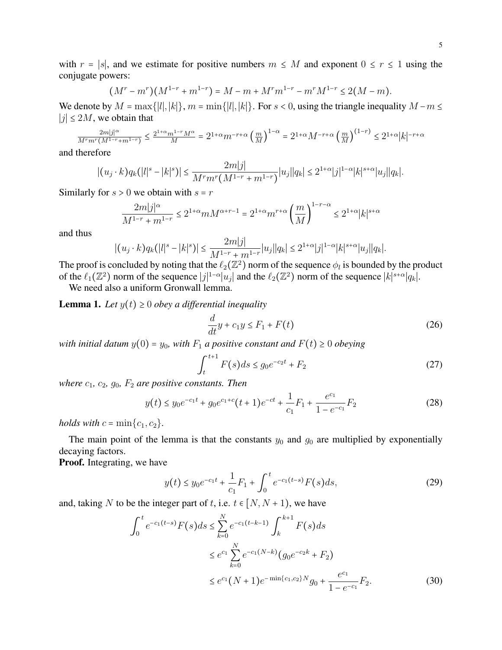with  $r = |s|$ , and we estimate for positive numbers  $m \leq M$  and exponent  $0 \leq r \leq 1$  using the conjugate powers:

$$
(M^r - m^r)(M^{1-r} + m^{1-r}) = M - m + M^r m^{1-r} - m^r M^{1-r} \le 2(M - m).
$$

We denote by  $M = \max\{|l|, |k|\}, m = \min\{|l|, |k|\}.$  For  $s < 0$ , using the triangle inequality  $M - m \leq$  $|j|$  ≤ 2M, we obtain that

$$
\frac{2m|j|^{\alpha}}{M^r m^r (M^{1-r} + m^{1-r})} \le \frac{2^{1+\alpha} m^{1-r} M^{\alpha}}{M} = 2^{1+\alpha} m^{-r+\alpha} \left(\frac{m}{M}\right)^{1-\alpha} = 2^{1+\alpha} M^{-r+\alpha} \left(\frac{m}{M}\right)^{(1-r)} \le 2^{1+\alpha} |k|^{-r+\alpha}
$$

and therefore

$$
|(u_j \cdot k)q_k(|l|^s-|k|^s)| \leq \frac{2m|j|}{M^r m^r (M^{1-r}+m^{1-r})}|u_j||q_k| \leq 2^{1+\alpha}|j|^{1-\alpha}|k|^{s+\alpha}|u_j||q_k|.
$$

Similarly for  $s > 0$  we obtain with  $s = r$ 

$$
\frac{2m|j|^{\alpha}}{M^{1-r}+m^{1-r}} \le 2^{1+\alpha}mM^{\alpha+r-1} = 2^{1+\alpha}m^{r+\alpha}\left(\frac{m}{M}\right)^{1-r-\alpha} \le 2^{1+\alpha}|k|^{s+\alpha}
$$

and thus

$$
|(u_j \cdot k)q_k(|l|^s - |k|^s)| \leq \frac{2m|j|}{M^{1-r} + m^{1-r}}|u_j||q_k| \leq 2^{1+\alpha}|j|^{1-\alpha}|k|^{s+\alpha}|u_j||q_k|.
$$

The proof is concluded by noting that the  $\ell_2(\mathbb{Z}^2)$  norm of the sequence  $\phi_l$  is bounded by the product of the  $\ell_1(\mathbb{Z}^2)$  norm of the sequence  $|j|^{1-\alpha}|u_j|$  and the  $\ell_2(\mathbb{Z}^2)$  norm of the sequence  $|k|^{s+\alpha}|q_k|$ .

We need also a uniform Gronwall lemma.

<span id="page-4-0"></span>**Lemma 1.** Let  $y(t) \geq 0$  obey a differential inequality

$$
\frac{d}{dt}y + c_1 y \le F_1 + F(t) \tag{26}
$$

*with initial datum*  $y(0) = y_0$ *, with*  $F_1$  *a positive constant and*  $F(t) \ge 0$  *obeying* 

$$
\int_{t}^{t+1} F(s)ds \le g_0 e^{-c_2 t} + F_2
$$
 (27)

*where*  $c_1$ ,  $c_2$ ,  $g_0$ ,  $F_2$  *are positive constants. Then* 

$$
y(t) \le y_0 e^{-c_1 t} + g_0 e^{c_1 + c} (t+1) e^{-ct} + \frac{1}{c_1} F_1 + \frac{e^{c_1}}{1 - e^{-c_1}} F_2
$$
 (28)

*holds with*  $c = \min\{c_1, c_2\}$ .

The main point of the lemma is that the constants  $y_0$  and  $g_0$  are multiplied by exponentially decaying factors.

Proof. Integrating, we have

$$
y(t) \le y_0 e^{-c_1 t} + \frac{1}{c_1} F_1 + \int_0^t e^{-c_1(t-s)} F(s) ds,
$$
 (29)

and, taking N to be the integer part of t, i.e.  $t \in [N, N + 1)$ , we have

$$
\int_{0}^{t} e^{-c_{1}(t-s)} F(s) ds \leq \sum_{k=0}^{N} e^{-c_{1}(t-k-1)} \int_{k}^{k+1} F(s) ds
$$
  

$$
\leq e^{c_{1}} \sum_{k=0}^{N} e^{-c_{1}(N-k)} (g_{0}e^{-c_{2}k} + F_{2})
$$
  

$$
\leq e^{c_{1}} (N+1) e^{-\min\{c_{1}, c_{2}\}N} g_{0} + \frac{e^{c_{1}}}{1 - e^{-c_{1}}} F_{2}.
$$
 (30)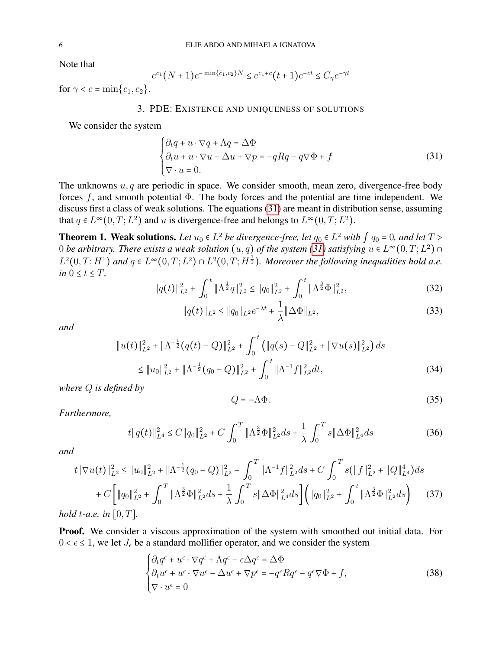Note that

$$
e^{c_1}(N+1)e^{-\min\{c_1,c_2\}N} \le e^{c_1+c}(t+1)e^{-ct} \le C_\gamma e^{-\gamma t}
$$

<span id="page-5-1"></span>for  $\gamma < c = \min\{c_1, c_2\}.$ 

## 3. PDE: EXISTENCE AND UNIQUENESS OF SOLUTIONS

We consider the system

<span id="page-5-2"></span>
$$
\begin{cases} \partial_t q + u \cdot \nabla q + \Lambda q = \Delta \Phi \\ \partial_t u + u \cdot \nabla u - \Delta u + \nabla p = -q R q - q \nabla \Phi + f \\ \nabla \cdot u = 0. \end{cases} \tag{31}
$$

The unknowns  $u, q$  are periodic in space. We consider smooth, mean zero, divergence-free body forces  $f$ , and smooth potential  $\Phi$ . The body forces and the potential are time independent. We discuss first a class of weak solutions. The equations [\(31\)](#page-5-2) are meant in distribution sense, assuming that  $q \in L^{\infty}(0, T; L^2)$  and u is divergence-free and belongs to  $L^{\infty}(0, T; L^2)$ .

<span id="page-5-0"></span>**Theorem 1. Weak solutions.** Let  $u_0 \in L^2$  *be divergence-free, let*  $q_0 \in L^2$  *with*  $\int q_0 = 0$ *, and let*  $T >$ 0 *be arbitrary. There exists a weak solution*  $(u, q)$  *of the system [\(31\)](#page-5-2) satisfying*  $u \in L^{\infty}(0, T; L^2)$   $\cap$  $L^2(0,T;H^1)$  and  $q \in L^\infty(0,T;L^2) \cap L^2(0,T;H^{\frac{1}{2}})$ . Moreover the following inequalities hold a.e. *in*  $0 \le t \le T$ *,* 

<span id="page-5-6"></span>
$$
\|q(t)\|_{L^2}^2 + \int_0^t \|\Lambda^{\frac{1}{2}}q\|_{L^2}^2 \le \|q_0\|_{L^2}^2 + \int_0^t \|\Lambda^{\frac{3}{2}}\Phi\|_{L^2}^2,
$$
\n(32)

$$
||q(t)||_{L^{2}} \leq ||q_{0}||_{L^{2}}e^{-\lambda t} + \frac{1}{\lambda}||\Delta\Phi||_{L^{2}},
$$
\n(33)

*and*

$$
||u(t)||_{L^{2}}^{2} + ||\Lambda^{-\frac{1}{2}}(q(t) - Q)||_{L^{2}}^{2} + \int_{0}^{t} (||q(s) - Q||_{L^{2}}^{2} + ||\nabla u(s)||_{L^{2}}^{2}) ds
$$
  

$$
\leq ||u_{0}||_{L^{2}}^{2} + ||\Lambda^{-\frac{1}{2}}(q_{0} - Q)||_{L^{2}}^{2} + \int_{0}^{t} ||\Lambda^{-1}f||_{L^{2}}^{2} dt,
$$
 (34)

*where* Q *is defined by*

<span id="page-5-5"></span>
$$
Q = -\Lambda \Phi. \tag{35}
$$

*Furthermore,*

<span id="page-5-4"></span>
$$
t \|q(t)\|_{L^{4}}^{2} \leq C \|q_{0}\|_{L^{2}}^{2} + C \int_{0}^{T} \|\Lambda^{\frac{3}{2}} \Phi\|_{L^{2}}^{2} ds + \frac{1}{\lambda} \int_{0}^{T} s \|\Delta \Phi\|_{L^{4}}^{2} ds \tag{36}
$$

*and*

$$
t \|\nabla u(t)\|_{L^{2}}^{2} \leq \|u_{0}\|_{L^{2}}^{2} + \|\Lambda^{-\frac{1}{2}}(q_{0} - Q)\|_{L^{2}}^{2} + \int_{0}^{T} \|\Lambda^{-1}f\|_{L^{2}}^{2} ds + C \int_{0}^{T} s(\|f\|_{L^{2}}^{2} + \|Q\|_{L^{4}}^{4}) ds
$$
  
+  $C \left[ \|q_{0}\|_{L^{2}}^{2} + \int_{0}^{T} \|\Lambda^{\frac{3}{2}} \Phi\|_{L^{2}}^{2} ds + \frac{1}{\lambda} \int_{0}^{T} s \|\Delta \Phi\|_{L^{4}}^{2} ds \right] \left( \|q_{0}\|_{L^{2}}^{2} + \int_{0}^{t} \|\Lambda^{\frac{3}{2}} \Phi\|_{L^{2}}^{2} ds \right)$  (37)  
hold t-a.e. in [0, T].

Proof. We consider a viscous approximation of the system with smoothed out initial data. For  $0 < \epsilon \leq 1$ , we let  $J_{\epsilon}$  be a standard mollifier operator, and we consider the system

<span id="page-5-3"></span>
$$
\begin{cases} \partial_t q^{\epsilon} + u^{\epsilon} \cdot \nabla q^{\epsilon} + \Lambda q^{\epsilon} - \epsilon \Delta q^{\epsilon} = \Delta \Phi \\ \partial_t u^{\epsilon} + u^{\epsilon} \cdot \nabla u^{\epsilon} - \Delta u^{\epsilon} + \nabla p^{\epsilon} = -q^{\epsilon} R q^{\epsilon} - q^{\epsilon} \nabla \Phi + f, \\ \nabla \cdot u^{\epsilon} = 0 \end{cases} \tag{38}
$$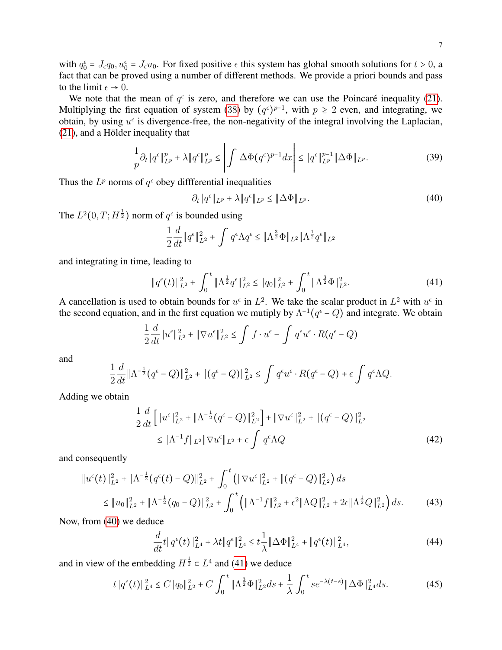with  $q_0^{\epsilon} = J_{\epsilon}q_0$ ,  $u_0^{\epsilon} = J_{\epsilon}u_0$ . For fixed positive  $\epsilon$  this system has global smooth solutions for  $t > 0$ , a fact that can be proved using a number of different methods. We provide a priori bounds and pass to the limit  $\epsilon \to 0$ .

We note that the mean of  $q^{\epsilon}$  is zero, and therefore we can use the Poincaré inequality [\(21\)](#page-3-2). Multiplying the first equation of system ([38](#page-5-3)) by  $(q^{\epsilon})^{p-1}$ , with  $p \geq 2$  even, and integrating, we obtain, by using  $u^{\epsilon}$  is divergence-free, the non-negativity of the integral involving the Laplacian,  $(21)$ , and a Hölder inequality that

$$
\frac{1}{p}\partial_t \|q^{\epsilon}\|_{L^p}^p + \lambda \|q^{\epsilon}\|_{L^p}^p \le \left| \int \Delta \Phi(q^{\epsilon})^{p-1} dx \right| \le \|q^{\epsilon}\|_{L^p}^{p-1} \|\Delta \Phi\|_{L^p}.
$$
\n(39)

Thus the  $L^p$  norms of  $q^{\epsilon}$  obey differential inequalities

<span id="page-6-0"></span>
$$
\partial_t \|q^{\epsilon}\|_{L^p} + \lambda \|q^{\epsilon}\|_{L^p} \le \|\Delta \Phi\|_{L^p}.
$$
\n(40)

The  $L^2(0,T;H^{\frac{1}{2}})$  norm of  $q^{\epsilon}$  is bounded using

$$
\frac{1}{2}\frac{d}{dt}\|q^{\epsilon}\|_{L^2}^2 + \int q^{\epsilon} \Lambda q^{\epsilon} \le \|\Lambda^{\frac{3}{2}}\Phi\|_{L^2} \|\Lambda^{\frac{1}{2}}q^{\epsilon}\|_{L^2}
$$

and integrating in time, leading to

<span id="page-6-1"></span>
$$
\|q^{\epsilon}(t)\|_{L^{2}}^{2} + \int_{0}^{t} \|\Lambda^{\frac{1}{2}}q^{\epsilon}\|_{L^{2}}^{2} \leq \|q_{0}\|_{L^{2}}^{2} + \int_{0}^{t} \|\Lambda^{\frac{3}{2}}\Phi\|_{L^{2}}^{2}.
$$
\n(41)

A cancellation is used to obtain bounds for  $u^{\epsilon}$  in  $L^2$ . We take the scalar product in  $L^2$  with  $u^{\epsilon}$  in the second equation, and in the first equation we mutiply by  $\Lambda^{-1}(q^{\epsilon}-Q)$  and integrate. We obtain

$$
\frac{1}{2}\frac{d}{dt}\|u^{\epsilon}\|_{L^{2}}^{2} + \|\nabla u^{\epsilon}\|_{L^{2}}^{2} \leq \int f \cdot u^{\epsilon} - \int q^{\epsilon}u^{\epsilon} \cdot R(q^{\epsilon} - Q)
$$

and

$$
\frac{1}{2}\frac{d}{dt}\|\Lambda^{-\frac{1}{2}}(q^{\epsilon}-Q)\|_{L^{2}}^{2}+\|(q^{\epsilon}-Q)\|_{L^{2}}^{2}\leq \int q^{\epsilon}u^{\epsilon}\cdot R(q^{\epsilon}-Q)+\epsilon\int q^{\epsilon}\Lambda Q.
$$

Adding we obtain

$$
\frac{1}{2}\frac{d}{dt}\left[\|u^{\epsilon}\|_{L^{2}}^{2} + \|\Lambda^{-\frac{1}{2}}(q^{\epsilon} - Q)\|_{L^{2}}^{2}\right] + \|\nabla u^{\epsilon}\|_{L^{2}}^{2} + \|(q^{\epsilon} - Q)\|_{L^{2}}^{2}
$$
\n
$$
\leq \|\Lambda^{-1}f\|_{L^{2}}\|\nabla u^{\epsilon}\|_{L^{2}} + \epsilon \int q^{\epsilon} \Lambda Q \tag{42}
$$

and consequently

$$
\|u^{\epsilon}(t)\|_{L^{2}}^{2} + \|\Lambda^{-\frac{1}{2}}(q^{\epsilon}(t) - Q)\|_{L^{2}}^{2} + \int_{0}^{t} \left(\|\nabla u^{\epsilon}\|_{L^{2}}^{2} + \|(q^{\epsilon} - Q)\|_{L^{2}}^{2}\right) ds
$$
  
\$\leq \|u\_{0}\|\_{L^{2}}^{2} + \|\Lambda^{-\frac{1}{2}}(q\_{0} - Q)\|\_{L^{2}}^{2} + \int\_{0}^{t} \left(\|\Lambda^{-1}f\|\_{L^{2}}^{2} + \epsilon^{2} \|\Lambda Q\|\_{L^{2}}^{2} + 2\epsilon \|\Lambda^{\frac{1}{2}}Q\|\_{L^{2}}^{2}\right) ds. \tag{43}

Now, from [\(40\)](#page-6-0) we deduce

<span id="page-6-2"></span>
$$
\frac{d}{dt}t\|q^{\epsilon}(t)\|_{L^{4}}^{2} + \lambda t\|q^{\epsilon}\|_{L^{4}}^{2} \leq t\frac{1}{\lambda}\|\Delta\Phi\|_{L^{4}}^{2} + \|q^{\epsilon}(t)\|_{L^{4}}^{2},\tag{44}
$$

and in view of the embedding  $H^{\frac{1}{2}} \subset L^4$  and [\(41\)](#page-6-1) we deduce

<span id="page-6-3"></span>
$$
t \| q^{\epsilon}(t) \|_{L^{4}}^{2} \le C \| q_{0} \|_{L^{2}}^{2} + C \int_{0}^{t} \| \Lambda^{\frac{3}{2}} \Phi \|_{L^{2}}^{2} ds + \frac{1}{\lambda} \int_{0}^{t} s e^{-\lambda(t-s)} \| \Delta \Phi \|_{L^{4}}^{2} ds.
$$
 (45)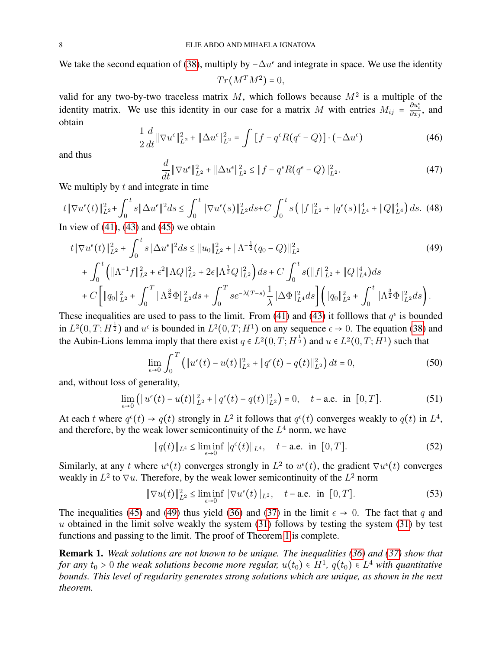We take the second equation of [\(38\)](#page-5-3), multiply by  $-\Delta u^{\epsilon}$  and integrate in space. We use the identity

<span id="page-7-0"></span> $Tr(M^TM^2)=0,$ 

valid for any two-by-two traceless matrix M, which follows because  $M^2$  is a multiple of the identity matrix. We use this identity in our case for a matrix M with entries  $M_{ij} = \frac{\partial u_i^{\epsilon}}{\partial x_j}$ , and obtain

$$
\frac{1}{2}\frac{d}{dt}\|\nabla u^{\epsilon}\|_{L^{2}}^{2} + \|\Delta u^{\epsilon}\|_{L^{2}}^{2} = \int \left[f - q^{\epsilon}R(q^{\epsilon} - Q)\right] \cdot \left(-\Delta u^{\epsilon}\right)
$$
\n(46)

and thus

<span id="page-7-1"></span>
$$
\frac{d}{dt} \|\nabla u^{\epsilon}\|_{L^{2}}^{2} + \|\Delta u^{\epsilon}\|_{L^{2}}^{2} \le \|f - q^{\epsilon}R(q^{\epsilon} - Q)\|_{L^{2}}^{2}.
$$
\n(47)

We multiply by  $t$  and integrate in time

$$
t \|\nabla u^{\epsilon}(t)\|_{L^{2}}^{2} + \int_{0}^{t} s \|\Delta u^{\epsilon}\|^{2} ds \le \int_{0}^{t} \|\nabla u^{\epsilon}(s)\|_{L^{2}}^{2} ds + C \int_{0}^{t} s \left(\|f\|_{L^{2}}^{2} + \|q^{\epsilon}(s)\|_{L^{4}}^{4} + \|Q\|_{L^{4}}^{4}\right) ds. \tag{48}
$$

In view of  $(41)$ ,  $(43)$  and  $(45)$  we obtain

$$
t \|\nabla u^{\epsilon}(t)\|_{L^{2}}^{2} + \int_{0}^{t} s \|\Delta u^{\epsilon}\|^{2} ds \leq \|u_{0}\|_{L^{2}}^{2} + \|\Lambda^{-\frac{1}{2}}(q_{0} - Q)\|_{L^{2}}^{2} \tag{49}
$$
  
+ 
$$
\int_{0}^{t} \left(\|\Lambda^{-1}f\|_{L^{2}}^{2} + \epsilon^{2} \|\Lambda Q\|_{L^{2}}^{2} + 2\epsilon \|\Lambda^{\frac{1}{2}}Q\|_{L^{2}}^{2}\right) ds + C \int_{0}^{t} s(\|f\|_{L^{2}}^{2} + \|Q\|_{L^{4}}^{4}) ds
$$
  
+ 
$$
C \left[\|q_{0}\|_{L^{2}}^{2} + \int_{0}^{T} \|\Lambda^{\frac{3}{2}}\Phi\|_{L^{2}}^{2} ds + \int_{0}^{T} s e^{-\lambda(T-s)} \frac{1}{\lambda} \|\Delta \Phi\|_{L^{4}}^{2} ds \right] \left(\|q_{0}\|_{L^{2}}^{2} + \int_{0}^{t} \|\Lambda^{\frac{3}{2}}\Phi\|_{L^{2}}^{2} ds\right).
$$

These inequalities are used to pass to the limit. From [\(41\)](#page-6-1) and [\(43\)](#page-6-2) it folllows that  $q^{\epsilon}$  is bounded in  $L^2(0,T;H^{\frac{1}{2}})$  and  $u^{\epsilon}$  is bounded in  $L^2(0,T;H^1)$  on any sequence  $\epsilon \to 0$ . The equation [\(38\)](#page-5-3) and the Aubin-Lions lemma imply that there exist  $q \in L^2(0,T;H^{\frac{1}{2}})$  and  $u \in L^2(0,T;H^1)$  such that

$$
\lim_{\epsilon \to 0} \int_0^T \left( \|u^{\epsilon}(t) - u(t)\|_{L^2}^2 + \|q^{\epsilon}(t) - q(t)\|_{L^2}^2 \right) dt = 0,
$$
\n(50)

and, without loss of generality,

$$
\lim_{\epsilon \to 0} \left( \|u^{\epsilon}(t) - u(t)\|_{L^{2}}^{2} + \|q^{\epsilon}(t) - q(t)\|_{L^{2}}^{2} \right) = 0, \quad t - \text{a.e. in } [0, T]. \tag{51}
$$

At each t where  $q^{\epsilon}(t) \rightarrow q(t)$  strongly in  $L^2$  it follows that  $q^{\epsilon}(t)$  converges weakly to  $q(t)$  in  $L^4$ , and therefore, by the weak lower semicontinuity of the  $L<sup>4</sup>$  norm, we have

$$
\|q(t)\|_{L^4} \le \liminf_{\epsilon \to 0} \|q^{\epsilon}(t)\|_{L^4}, \quad t-\text{a.e. in } [0, T]. \tag{52}
$$

Similarly, at any t where  $u^{\epsilon}(t)$  converges strongly in  $L^2$  to  $u^{\epsilon}(t)$ , the gradient  $\nabla u^{\epsilon}(t)$  converges weakly in  $L^2$  to  $\nabla u$ . Therefore, by the weak lower semicontinuity of the  $L^2$  norm

$$
\|\nabla u(t)\|_{L^2}^2 \le \liminf_{\epsilon \to 0} \|\nabla u^{\epsilon}(t)\|_{L^2}, \quad t-\text{a.e. in } [0, T].
$$
 (53)

The inequalities [\(45\)](#page-6-3) and [\(49\)](#page-7-0) thus yield [\(36\)](#page-5-4) and [\(37\)](#page-5-5) in the limit  $\epsilon \to 0$ . The fact that q and u obtained in the limit solve weakly the system  $(31)$  follows by testing the system  $(31)$  by test functions and passing to the limit. The proof of Theorem [1](#page-5-0) is complete.

Remark 1. *Weak solutions are not known to be unique. The inequalities [\(36\)](#page-5-4) and [\(37\)](#page-5-5) show that for any*  $t_0 > 0$  the weak solutions become more regular,  $u(t_0) \in H^1$ ,  $q(t_0) \in L^4$  with quantitative *bounds. This level of regularity generates strong solutions which are unique, as shown in the next theorem.*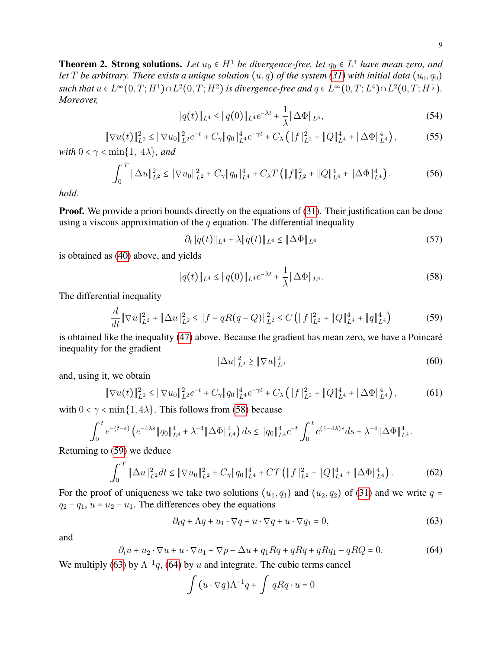<span id="page-8-0"></span>**Theorem 2. Strong solutions.** Let  $u_0 \in H^1$  be divergence-free, let  $q_0 \in L^4$  have mean zero, and *let* T *be arbitrary. There exists a unique solution*  $(u, q)$  *of the system [\(31\)](#page-5-2)* with initial data  $(u_0, q_0)$ *such that*  $u \in L^{\infty}(0,T;H^1) \cap L^2(0,T;H^2)$  *is divergence-free and*  $q \in L^{\infty}(0,T;L^4) \cap L^2(0,T;H^{\frac{1}{2}})$ *. Moreover,*

<span id="page-8-6"></span>
$$
||q(t)||_{L^{4}} \leq ||q(0)||_{L^{4}}e^{-\lambda t} + \frac{1}{\lambda}||\Delta\Phi||_{L^{4}},
$$
\n(54)

<span id="page-8-7"></span>
$$
\|\nabla u(t)\|_{L^2}^2 \le \|\nabla u_0\|_{L^2}^2 e^{-t} + C_\gamma \|q_0\|_{L^4}^4 e^{-\gamma t} + C_\lambda \left(\|f\|_{L^2}^2 + \|Q\|_{L^4}^4 + \|\Delta \Phi\|_{L^4}^4\right),\tag{55}
$$

*with*  $0 < \gamma < \min\{1, 4\lambda\}$ *, and* 

<span id="page-8-5"></span>
$$
\int_0^T \|\Delta u\|_{L^2}^2 \le \|\nabla u_0\|_{L^2}^2 + C_\gamma \|q_0\|_{L^4}^4 + C_\lambda T \left( \|f\|_{L^2}^2 + \|Q\|_{L^4}^4 + \|\Delta \Phi\|_{L^4}^4 \right). \tag{56}
$$

*hold.*

**Proof.** We provide a priori bounds directly on the equations of [\(31\)](#page-5-2). Their justification can be done using a viscous approximation of the  $q$  equation. The differential inequality

$$
\partial_t \|q(t)\|_{L^4} + \lambda \|q(t)\|_{L^4} \le \|\Delta \Phi\|_{L^4}
$$
\n(57)

is obtained as [\(40\)](#page-6-0) above, and yields

<span id="page-8-1"></span>
$$
||q(t)||_{L^{4}} \leq ||q(0)||_{L^{4}}e^{-\lambda t} + \frac{1}{\lambda}||\Delta\Phi||_{L^{4}}.
$$
\n(58)

The differential inequality

<span id="page-8-2"></span>
$$
\frac{d}{dt} \|\nabla u\|_{L^2}^2 + \|\Delta u\|_{L^2}^2 \le \|f - qR(q - Q)\|_{L^2}^2 \le C \left(\|f\|_{L^2}^2 + \|Q\|_{L^4}^4 + \|q\|_{L^4}^4\right) \tag{59}
$$

is obtained like the inequality [\(47\)](#page-7-1) above. Because the gradient has mean zero, we have a Poincaré inequality for the gradient

$$
\|\Delta u\|_{L^2}^2 \ge \|\nabla u\|_{L^2}^2\tag{60}
$$

and, using it, we obtain

$$
\|\nabla u(t)\|_{L^2}^2 \le \|\nabla u_0\|_{L^2}^2 e^{-t} + C_\gamma \|q_0\|_{L^4}^4 e^{-\gamma t} + C_\lambda \left(\|f\|_{L^2}^2 + \|Q\|_{L^4}^4 + \|\Delta \Phi\|_{L^4}^4\right),\tag{61}
$$

with  $0 < \gamma < \min\{1, 4\lambda\}$ . This follows from [\(58\)](#page-8-1) because

$$
\int_0^t e^{-(t-s)} \left( e^{-4\lambda s} \|q_0\|_{L^4}^4 + \lambda^{-4} \|\Delta \Phi\|_{L^4}^4 \right) ds \le \|q_0\|_{L^4}^4 e^{-t} \int_0^t e^{(1-4\lambda)s} ds + \lambda^{-4} \|\Delta \Phi\|_{L^4}^4.
$$

Returning to [\(59\)](#page-8-2) we deduce

<span id="page-8-8"></span>
$$
\int_0^T \|\Delta u\|_{L^2}^2 dt \le \|\nabla u_0\|_{L^2}^2 + C_\gamma \|q_0\|_{L^4}^4 + CT \left( \|f\|_{L^2}^2 + \|Q\|_{L^4}^4 + \|\Delta \Phi\|_{L^4}^4 \right). \tag{62}
$$

For the proof of uniqueness we take two solutions  $(u_1, q_1)$  and  $(u_2, q_2)$  of [\(31\)](#page-5-2) and we write  $q =$  $q_2 - q_1$ ,  $u = u_2 - u_1$ . The differences obey the equations

<span id="page-8-3"></span>
$$
\partial_t q + \Lambda q + u_1 \cdot \nabla q + u \cdot \nabla q + u \cdot \nabla q_1 = 0,\tag{63}
$$

and

<span id="page-8-4"></span>
$$
\partial_t u + u_2 \cdot \nabla u + u \cdot \nabla u_1 + \nabla p - \Delta u + q_1 R q + q R q + q R q_1 - q R Q = 0. \tag{64}
$$

We multiply [\(63\)](#page-8-3) by  $\Lambda^{-1}q$ , [\(64\)](#page-8-4) by u and integrate. The cubic terms cancel

$$
\int (u \cdot \nabla q) \Lambda^{-1} q + \int q R q \cdot u = 0
$$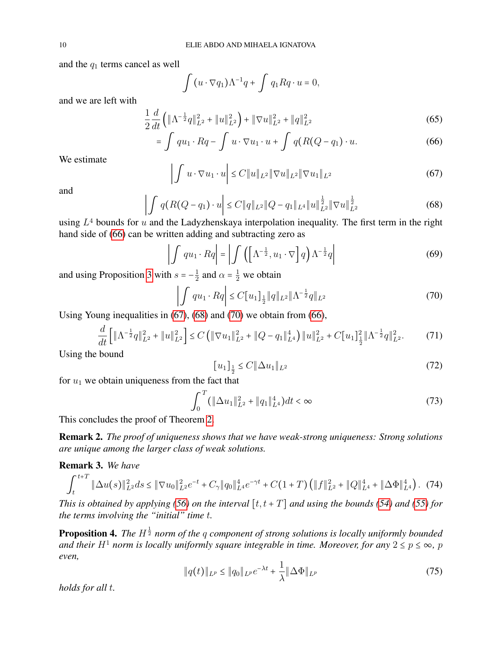and the  $q_1$  terms cancel as well

<span id="page-9-0"></span>
$$
\int (u \cdot \nabla q_1) \Lambda^{-1} q + \int q_1 R q \cdot u = 0,
$$

and we are left with

$$
\frac{1}{2}\frac{d}{dt}\left(\|\Lambda^{-\frac{1}{2}}q\|_{L^2}^2 + \|u\|_{L^2}^2\right) + \|\nabla u\|_{L^2}^2 + \|q\|_{L^2}^2\tag{65}
$$

$$
= \int qu_1 \cdot Rq - \int u \cdot \nabla u_1 \cdot u + \int q(R(Q - q_1) \cdot u).
$$
 (66)

We estimate

<span id="page-9-1"></span>
$$
\left| \int u \cdot \nabla u_1 \cdot u \right| \le C \|u\|_{L^2} \|\nabla u\|_{L^2} \|\nabla u_1\|_{L^2}
$$
\n(67)

and

<span id="page-9-2"></span>
$$
\left| \int q(R(Q - q_1) \cdot u \right| \le C \|q\|_{L^2} \|Q - q_1\|_{L^4} \|u\|_{L^2}^{\frac{1}{2}} \|\nabla u\|_{L^2}^{\frac{1}{2}} \tag{68}
$$

using  $L<sup>4</sup>$  bounds for u and the Ladyzhenskaya interpolation inequality. The first term in the right hand side of [\(66\)](#page-9-0) can be written adding and subtracting zero as

$$
\left| \int qu_1 \cdot Rq \right| = \left| \int \left( \left[ \Lambda^{-\frac{1}{2}}, u_1 \cdot \nabla \right] q \right) \Lambda^{-\frac{1}{2}} q \right| \tag{69}
$$

and using Proposition [3](#page-3-1) with  $s = -\frac{1}{2}$  $\frac{1}{2}$  and  $\alpha = \frac{1}{2}$  we obtain

<span id="page-9-3"></span>
$$
\left| \int qu_1 \cdot Rq \right| \le C[u_1]_{\frac{1}{2}} \|q\|_{L^2} \|\Lambda^{-\frac{1}{2}}q\|_{L^2}
$$
\n(70)

Using Young inequalities in [\(67\)](#page-9-1), [\(68\)](#page-9-2) and [\(70\)](#page-9-3) we obtain from [\(66\)](#page-9-0),

$$
\frac{d}{dt}\left[\|\Lambda^{-\frac{1}{2}}q\|_{L^{2}}^{2}+\|u\|_{L^{2}}^{2}\right] \leq C\left(\|\nabla u_{1}\|_{L^{2}}^{2}+\|Q-q_{1}\|_{L^{4}}^{4}\right)\|u\|_{L^{2}}^{2}+C[u_{1}]\frac{1}{2}\|\Lambda^{-\frac{1}{2}}q\|_{L^{2}}^{2}.\tag{71}
$$

Using the bound

<span id="page-9-4"></span>
$$
[u_1]_{\frac{1}{2}} \le C \|\Delta u_1\|_{L^2}
$$
\n(72)

for  $u_1$  we obtain uniqueness from the fact that

$$
\int_0^T (\|\Delta u_1\|_{L^2}^2 + \|q_1\|_{L^4}^4) dt < \infty
$$
\n(73)

This concludes the proof of Theorem [2.](#page-8-0)

Remark 2. *The proof of uniqueness shows that we have weak-strong uniqueness: Strong solutions are unique among the larger class of weak solutions.*

## Remark 3. *We have*

<span id="page-9-6"></span>
$$
\int_{t}^{t+T} \|\Delta u(s)\|_{L^{2}}^{2} ds \leq \|\nabla u_{0}\|_{L^{2}}^{2} e^{-t} + C_{\gamma} \|q_{0}\|_{L^{4}}^{4} e^{-\gamma t} + C(1+T) \left(\|f\|_{L^{2}}^{2} + \|Q\|_{L^{4}}^{4} + \|\Delta \Phi\|_{L^{4}}^{4}\right). (74)
$$

*This is obtained by applying [\(56\)](#page-8-5) on the interval*  $[t, t + T]$  *and using the bounds [\(54\)](#page-8-6) and [\(55\)](#page-8-7) for the terms involving the "initial" time* t*.*

Proposition 4. The H<sup>1</sup> *norm of the q component of strong solutions is locally uniformly bounded and their*  $H^1$  *norm is locally uniformly square integrable in time. Moreover, for any*  $2 \le p \le \infty$ *, p even,*

<span id="page-9-5"></span>
$$
||q(t)||_{L^p} \le ||q_0||_{L^p}e^{-\lambda t} + \frac{1}{\lambda}||\Delta \Phi||_{L^p}
$$
\n(75)

*holds for all* t*.*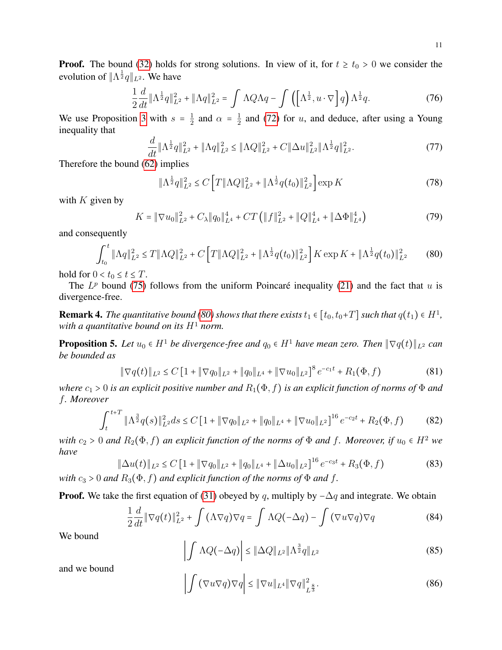**Proof.** The bound [\(32\)](#page-5-6) holds for strong solutions. In view of it, for  $t \geq t_0 > 0$  we consider the evolution of  $\|\Lambda^{\frac{1}{2}}q\|_{L^2}$ . We have

$$
\frac{1}{2}\frac{d}{dt}\|\Lambda^{\frac{1}{2}}q\|_{L^2}^2 + \|\Lambda q\|_{L^2}^2 = \int \Lambda Q \Lambda q - \int \left(\left[\Lambda^{\frac{1}{2}}, u \cdot \nabla\right] q\right) \Lambda^{\frac{1}{2}} q. \tag{76}
$$

We use Proposition [3](#page-3-1) with  $s = \frac{1}{2}$  $\frac{1}{2}$  and  $\alpha = \frac{1}{2}$  $\frac{1}{2}$  and [\(72\)](#page-9-4) for *u*, and deduce, after using a Young inequality that

$$
\frac{d}{dt} \|\Lambda^{\frac{1}{2}}q\|_{L^{2}}^{2} + \|\Lambda q\|_{L^{2}}^{2} \le \|\Lambda Q\|_{L^{2}}^{2} + C \|\Delta u\|_{L^{2}}^{2} \|\Lambda^{\frac{1}{2}}q\|_{L^{2}}^{2}.
$$
\n(77)

Therefore the bound [\(62\)](#page-8-8) implies

$$
\|\Lambda^{\frac{1}{2}}q\|_{L^{2}}^{2} \le C\Big[T\|\Lambda Q\|_{L^{2}}^{2} + \|\Lambda^{\frac{1}{2}}q(t_{0})\|_{L^{2}}^{2}\Big] \exp K \tag{78}
$$

with  $K$  given by

$$
K = \|\nabla u_0\|_{L^2}^2 + C_{\lambda} \|q_0\|_{L^4}^4 + CT \left( \|f\|_{L^2}^2 + \|Q\|_{L^4}^4 + \|\Delta \Phi\|_{L^4}^4 \right) \tag{79}
$$

and consequently

<span id="page-10-0"></span>
$$
\int_{t_0}^t \|\Lambda q\|_{L^2}^2 \le T \|\Lambda Q\|_{L^2}^2 + C \left[ T \|\Lambda Q\|_{L^2}^2 + \|\Lambda^{\frac{1}{2}} q(t_0)\|_{L^2}^2 \right] K \exp K + \|\Lambda^{\frac{1}{2}} q(t_0)\|_{L^2}^2 \tag{80}
$$

hold for  $0 < t_0 \le t \le T$ .

The  $L^p$  bound [\(75\)](#page-9-5) follows from the uniform Poincaré inequality [\(21\)](#page-3-2) and the fact that u is divergence-free.

**Remark 4.** The quantitative bound [\(80\)](#page-10-0) shows that there exists  $t_1 \in [t_0, t_0+T]$  such that  $q(t_1) \in H^1$ , *with a quantitative bound on its*  $H^1$  *norm.* 

<span id="page-10-4"></span>**Proposition 5.** Let  $u_0 \in H^1$  be divergence-free and  $q_0 \in H^1$  have mean zero. Then  $\|\nabla q(t)\|_{L^2}$  can *be bounded as*

<span id="page-10-1"></span>
$$
\|\nabla q(t)\|_{L^2} \le C \left[1 + \|\nabla q_0\|_{L^2} + \|q_0\|_{L^4} + \|\nabla u_0\|_{L^2}\right]^8 e^{-c_1 t} + R_1(\Phi, f) \tag{81}
$$

*where*  $c_1 > 0$  *is an explicit positive number and*  $R_1(\Phi, f)$  *is an explicit function of norms of*  $\Phi$  *and* f*. Moreover*

<span id="page-10-2"></span>
$$
\int_{t}^{t+T} \|\Lambda^{\frac{3}{2}}q(s)\|_{L^{2}}^{2}ds \le C\left[1+\|\nabla q_{0}\|_{L^{2}}+\|q_{0}\|_{L^{4}}+\|\nabla u_{0}\|_{L^{2}}\right]^{16}e^{-c_{2}t}+R_{2}(\Phi,f) \tag{82}
$$

*with*  $c_2 > 0$  *and*  $R_2(\Phi, f)$  *an explicit function of the norms of*  $\Phi$  *and* f. Moreover, if  $u_0 \in H^2$  *we have*

<span id="page-10-3"></span>
$$
\|\Delta u(t)\|_{L^2} \le C \left[1 + \|\nabla q_0\|_{L^2} + \|q_0\|_{L^4} + \|\Delta u_0\|_{L^2}\right]^{16} e^{-c_3 t} + R_3(\Phi, f) \tag{83}
$$

*with*  $c_3 > 0$  *and*  $R_3(\Phi, f)$  *and explicit function of the norms of*  $\Phi$  *and*  $f$ .

**Proof.** We take the first equation of [\(31\)](#page-5-2) obeyed by q, multiply by  $-\Delta q$  and integrate. We obtain

$$
\frac{1}{2}\frac{d}{dt}\|\nabla q(t)\|_{L^2}^2 + \int (\Lambda \nabla q) \nabla q = \int \Lambda Q(-\Delta q) - \int (\nabla u \nabla q) \nabla q \tag{84}
$$

We bound

$$
\left| \int \Lambda Q(-\Delta q) \right| \leq \|\Delta Q\|_{L^2} \|\Lambda^{\frac{3}{2}} q\|_{L^2}
$$
\n(85)

and we bound

$$
\left| \int \left( \nabla u \nabla q \right) \nabla q \right| \leq \| \nabla u \|_{L^4} \| \nabla q \|_{L^{\frac{8}{3}}}^2. \tag{86}
$$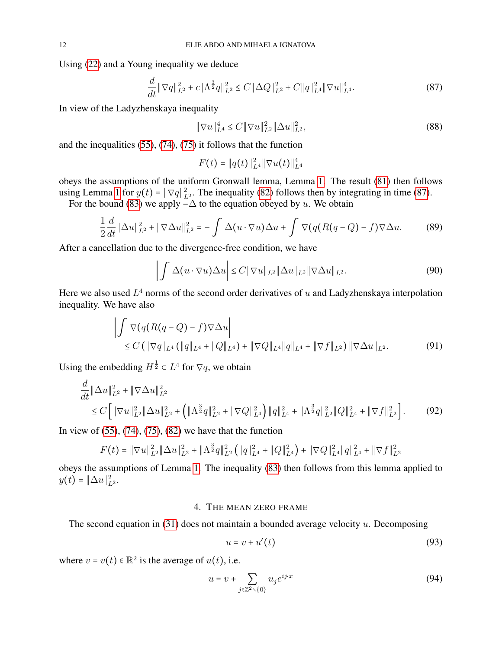Using [\(22\)](#page-3-3) and a Young inequality we deduce

<span id="page-11-1"></span>
$$
\frac{d}{dt} \|\nabla q\|_{L^2}^2 + c \|\Lambda^{\frac{3}{2}} q\|_{L^2}^2 \le C \|\Delta Q\|_{L^2}^2 + C \|q\|_{L^4}^2 \|\nabla u\|_{L^4}^4. \tag{87}
$$

In view of the Ladyzhenskaya inequality

$$
\|\nabla u\|_{L^{4}}^{4} \le C \|\nabla u\|_{L^{2}}^{2} \|\Delta u\|_{L^{2}}^{2},\tag{88}
$$

and the inequalities [\(55\)](#page-8-7), [\(74\)](#page-9-6), [\(75\)](#page-9-5) it follows that the function

$$
F(t) = ||q(t)||_{L^4}^2 ||\nabla u(t)||_{L^4}^4
$$

obeys the assumptions of the uniform Gronwall lemma, Lemma [1.](#page-4-0) The result [\(81\)](#page-10-1) then follows using Lemma [1](#page-4-0) for  $y(t) = \|\nabla q\|_{L^2}^2$ . The inequality [\(82\)](#page-10-2) follows then by integrating in time [\(87\)](#page-11-1).

For the bound [\(83\)](#page-10-3) we apply  $-\Delta$  to the equation obeyed by u. We obtain

$$
\frac{1}{2}\frac{d}{dt}\|\Delta u\|_{L^2}^2 + \|\nabla\Delta u\|_{L^2}^2 = -\int \Delta(u\cdot\nabla u)\Delta u + \int \nabla\big(q(R(q-Q)-f)\nabla\Delta u. \tag{89}
$$

After a cancellation due to the divergence-free condition, we have

$$
\left| \int \Delta(u \cdot \nabla u) \Delta u \right| \le C \| \nabla u \|_{L^2} \| \Delta u \|_{L^2} \| \nabla \Delta u \|_{L^2}.
$$
\n(90)

Here we also used  $L^4$  norms of the second order derivatives of u and Ladyzhenskaya interpolation inequality. We have also

$$
\left| \int \nabla (q(R(q - Q) - f) \nabla \Delta u \right|
$$
  
\n
$$
\leq C \left( \|\nabla q\|_{L^4} \left( \|q\|_{L^4} + \|Q\|_{L^4} \right) + \|\nabla Q\|_{L^4} \|q\|_{L^4} + \|\nabla f\|_{L^2} \right) \|\nabla \Delta u\|_{L^2}.
$$
\n(91)

Using the embedding  $H^{\frac{1}{2}} \subset L^4$  for  $\nabla q$ , we obtain

$$
\frac{d}{dt} \|\Delta u\|_{L^{2}}^{2} + \|\nabla \Delta u\|_{L^{2}}^{2} \n\leq C \left[ \|\nabla u\|_{L^{2}}^{2} \|\Delta u\|_{L^{2}}^{2} + \left( \|\Lambda^{\frac{3}{2}}q\|_{L^{2}}^{2} + \|\nabla Q\|_{L^{4}}^{2} \right) \|q\|_{L^{4}}^{2} + \|\Lambda^{\frac{3}{2}}q\|_{L^{2}}^{2} \|Q\|_{L^{4}}^{2} + \|\nabla f\|_{L^{2}}^{2} \right].
$$
\n(92)

In view of  $(55)$ ,  $(74)$ ,  $(75)$ ,  $(82)$  we have that the function

$$
F(t) = \|\nabla u\|_{L^2}^2 \|\Delta u\|_{L^2}^2 + \|\Lambda^{\frac{3}{2}}q\|_{L^2}^2 \left( \|q\|_{L^4}^2 + \|Q\|_{L^4}^2 \right) + \|\nabla Q\|_{L^4}^2 \|q\|_{L^4}^2 + \|\nabla f\|_{L^2}^2
$$

obeys the assumptions of Lemma [1.](#page-4-0) The inequality [\(83\)](#page-10-3) then follows from this lemma applied to  $y(t) = \|\Delta u\|_{L^2}^2.$ 

# 4. THE MEAN ZERO FRAME

<span id="page-11-0"></span>The second equation in  $(31)$  does not maintain a bounded average velocity u. Decomposing

$$
u = v + u'(t) \tag{93}
$$

where  $v = v(t) \in \mathbb{R}^2$  is the average of  $u(t)$ , i.e.

$$
u = v + \sum_{j \in \mathbb{Z}^2 \setminus \{0\}} u_j e^{ij \cdot x} \tag{94}
$$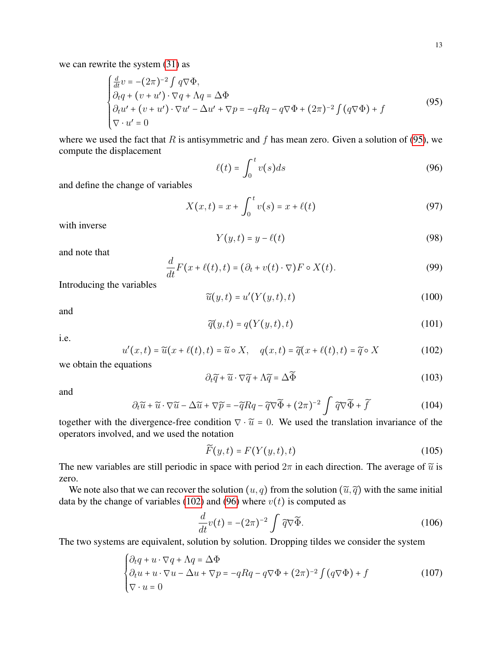we can rewrite the system [\(31\)](#page-5-2) as

<span id="page-12-0"></span>
$$
\begin{cases}\n\frac{d}{dt}v = -(2\pi)^{-2} \int q\nabla \Phi, \\
\partial_t q + (v + u') \cdot \nabla q + \Lambda q = \Delta \Phi \\
\partial_t u' + (v + u') \cdot \nabla u' - \Delta u' + \nabla p = -qRq - q\nabla \Phi + (2\pi)^{-2} \int (q\nabla \Phi) + f \\
\nabla \cdot u' = 0\n\end{cases}
$$
\n(95)

where we used the fact that R is antisymmetric and f has mean zero. Given a solution of [\(95\)](#page-12-0), we compute the displacement

<span id="page-12-2"></span>
$$
\ell(t) = \int_0^t v(s)ds\tag{96}
$$

and define the change of variables

$$
X(x,t) = x + \int_0^t v(s) = x + \ell(t)
$$
\n(97)

with inverse

$$
Y(y,t) = y - \ell(t) \tag{98}
$$

and note that

$$
\frac{d}{dt}F(x+\ell(t),t) = (\partial_t + v(t) \cdot \nabla)F \circ X(t).
$$
\n(99)

Introducing the variables

$$
\widetilde{u}(y,t) = u'(Y(y,t),t)
$$
\n(100)

and

$$
\widetilde{q}(y,t) = q(Y(y,t),t)
$$
\n(101)

i.e.

<span id="page-12-1"></span>
$$
u'(x,t) = \widetilde{u}(x+\ell(t),t) = \widetilde{u} \circ X, \quad q(x,t) = \widetilde{q}(x+\ell(t),t) = \widetilde{q} \circ X \tag{102}
$$

we obtain the equations

$$
\partial_t \widetilde{q} + \widetilde{u} \cdot \nabla \widetilde{q} + \Lambda \widetilde{q} = \Delta \widetilde{\Phi}
$$
\n(103)

and

$$
\partial_t \widetilde{u} + \widetilde{u} \cdot \nabla \widetilde{u} - \Delta \widetilde{u} + \nabla \widetilde{p} = -\widetilde{q} Rq - \widetilde{q} \nabla \widetilde{\Phi} + (2\pi)^{-2} \int \widetilde{q} \nabla \widetilde{\Phi} + \widetilde{f}
$$
(104)

together with the divergence-free condition  $\nabla \cdot \tilde{u} = 0$ . We used the translation invariance of the operators involved, and we used the notation

$$
\widetilde{F}(y,t) = F(Y(y,t),t)
$$
\n(105)

The new variables are still periodic in space with period  $2\pi$  in each direction. The average of  $\tilde{u}$  is zero.

We note also that we can recover the solution  $(u, q)$  from the solution  $(\tilde{u}, \tilde{q})$  with the same initial data by the change of variables [\(102\)](#page-12-1) and [\(96\)](#page-12-2) where  $v(t)$  is computed as

<span id="page-12-4"></span>
$$
\frac{d}{dt}v(t) = -(2\pi)^{-2} \int \widetilde{q} \nabla \widetilde{\Phi}.
$$
\n(106)

The two systems are equivalent, solution by solution. Dropping tildes we consider the system

<span id="page-12-3"></span>
$$
\begin{cases} \partial_t q + u \cdot \nabla q + \Lambda q = \Delta \Phi \\ \partial_t u + u \cdot \nabla u - \Delta u + \nabla p = -q R q - q \nabla \Phi + (2\pi)^{-2} \int (q \nabla \Phi) + f \\ \nabla \cdot u = 0 \end{cases}
$$
 (107)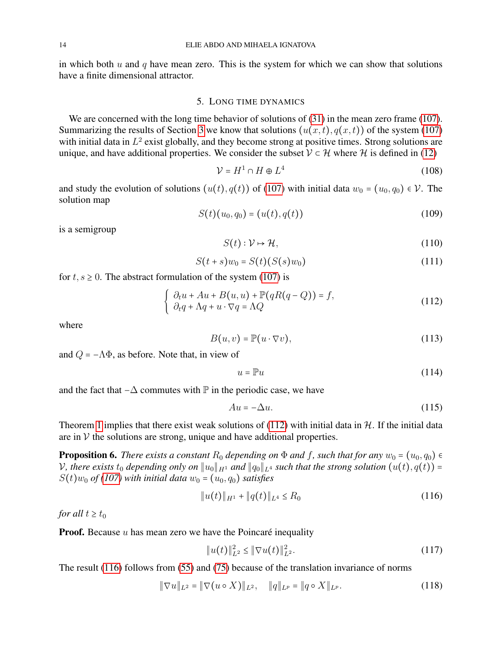in which both  $u$  and  $q$  have mean zero. This is the system for which we can show that solutions have a finite dimensional attractor.

#### 5. LONG TIME DYNAMICS

<span id="page-13-0"></span>We are concerned with the long time behavior of solutions of  $(31)$  in the mean zero frame [\(107\)](#page-12-3). Summarizing the results of Section [3](#page-5-1) we know that solutions  $(u(x, t), q(x, t))$  of the system [\(107\)](#page-12-3) with initial data in  $L<sup>2</sup>$  exist globally, and they become strong at positive times. Strong solutions are unique, and have additional properties. We consider the subset  $V \subset H$  where H is defined in [\(12\)](#page-2-1)

$$
\mathcal{V} = H^1 \cap H \oplus L^4 \tag{108}
$$

and study the evolution of solutions  $(u(t), q(t))$  of [\(107\)](#page-12-3) with initial data  $w_0 = (u_0, q_0) \in \mathcal{V}$ . The solution map

$$
S(t)(u_0, q_0) = (u(t), q(t))
$$
\n(109)

is a semigroup

$$
S(t): \mathcal{V} \mapsto \mathcal{H},\tag{110}
$$

$$
S(t+s)w_0 = S(t)(S(s)w_0)
$$
\n(111)

for  $t, s \ge 0$ . The abstract formulation of the system [\(107\)](#page-12-3) is

<span id="page-13-1"></span>
$$
\begin{cases}\n\partial_t u + Au + B(u, u) + \mathbb{P}(qR(q - Q)) = f, \\
\partial_t q + \Lambda q + u \cdot \nabla q = \Lambda Q\n\end{cases}
$$
\n(112)

where

$$
B(u, v) = \mathbb{P}(u \cdot \nabla v),\tag{113}
$$

and  $Q = -\Lambda \Phi$ , as before. Note that, in view of

$$
u = \mathbb{P}u \tag{114}
$$

and the fact that  $-\Delta$  commutes with  $\mathbb P$  in the periodic case, we have

$$
Au = -\Delta u.\tag{115}
$$

Theorem [1](#page-5-0) implies that there exist weak solutions of [\(112\)](#page-13-1) with initial data in  $H$ . If the initial data are in  $V$  the solutions are strong, unique and have additional properties.

<span id="page-13-3"></span>**Proposition 6.** *There exists a constant*  $R_0$  *depending on*  $\Phi$  *and*  $f$ *, such that for any*  $w_0 = (u_0, q_0) \in$ *V*, there exists  $t_0$  depending only on  $||u_0||_{H^1}$  and  $||q_0||_{L^4}$  such that the strong solution  $(u(t), q(t)) =$  $S(t)$ *w*<sup>0</sup> *of* [\(107\)](#page-12-3) *with initial data w*<sup>0</sup> = (*u*<sup>0</sup>, *q*<sup>0</sup>) *satisfies* 

<span id="page-13-2"></span>
$$
||u(t)||_{H^1} + ||q(t)||_{L^4} \le R_0 \tag{116}
$$

*for all*  $t \geq t_0$ 

**Proof.** Because  $u$  has mean zero we have the Poincaré inequality

$$
||u(t)||_{L^2}^2 \le ||\nabla u(t)||_{L^2}^2. \tag{117}
$$

The result [\(116\)](#page-13-2) follows from [\(55\)](#page-8-7) and [\(75\)](#page-9-5) because of the translation invariance of norms

$$
\|\nabla u\|_{L^2} = \|\nabla (u \circ X)\|_{L^2}, \quad \|q\|_{L^p} = \|q \circ X\|_{L^p}.
$$
 (118)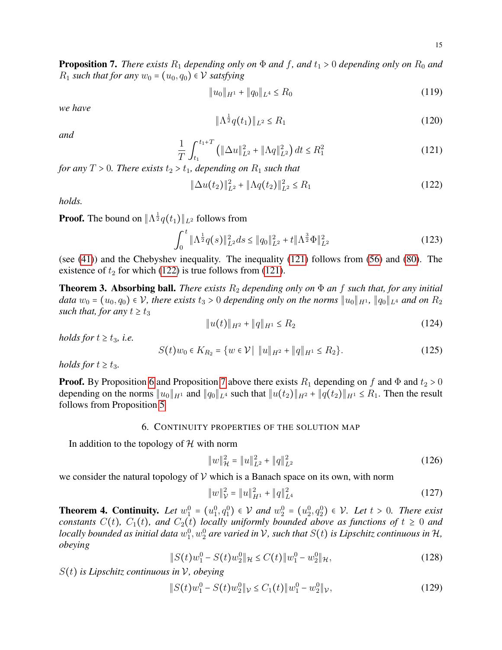<span id="page-14-3"></span>**Proposition 7.** *There exists*  $R_1$  *depending only on*  $\Phi$  *and*  $f$ *, and*  $t_1 > 0$  *depending only on*  $R_0$  *and*  $R_1$  *such that for any*  $w_0 = (u_0, q_0) \in \mathcal{V}$  *satsfying* 

$$
||u_0||_{H^1} + ||q_0||_{L^4} \le R_0 \tag{119}
$$

*we have*

$$
\|\Lambda^{\frac{1}{2}}q(t_1)\|_{L^2} \le R_1\tag{120}
$$

*and*

<span id="page-14-1"></span>
$$
\frac{1}{T} \int_{t_1}^{t_1+T} \left( \|\Delta u\|_{L^2}^2 + \|\Lambda q\|_{L^2}^2 \right) dt \le R_1^2 \tag{121}
$$

*for any*  $T > 0$ *. There exists*  $t_2 > t_1$ *, depending on*  $R_1$  *such that* 

<span id="page-14-2"></span>
$$
\|\Delta u(t_2)\|_{L^2}^2 + \|\Lambda q(t_2)\|_{L^2}^2 \le R_1 \tag{122}
$$

*holds.*

**Proof.** The bound on  $\|\Lambda^{\frac{1}{2}}q(t_1)\|_{L^2}$  follows from

$$
\int_0^t \|\Lambda^{\frac{1}{2}}q(s)\|_{L^2}^2 ds \le \|q_0\|_{L^2}^2 + t \|\Lambda^{\frac{3}{2}}\Phi\|_{L^2}^2 \tag{123}
$$

(see [\(41\)](#page-6-1)) and the Chebyshev inequality. The inequality [\(121\)](#page-14-1) follows from [\(56\)](#page-8-5) and [\(80\)](#page-10-0). The existence of  $t_2$  for which [\(122\)](#page-14-2) is true follows from [\(121\)](#page-14-1).

<span id="page-14-7"></span>**Theorem 3. Absorbing ball.** *There exists*  $R_2$  *depending only on*  $\Phi$  *an*  $f$  *such that, for any initial data*  $w_0 = (u_0, q_0) \in \mathcal{V}$ , there exists  $t_3 > 0$  depending only on the norms  $||u_0||_{H^1}$ ,  $||q_0||_{L^4}$  and on  $R_2$ *such that, for any*  $t \ge t_3$ 

$$
||u(t)||_{H^2} + ||q||_{H^1} \le R_2 \tag{124}
$$

*holds for*  $t \geq t_3$ *, i.e.* 

<span id="page-14-8"></span>
$$
S(t)w_0 \in K_{R_2} = \{ w \in \mathcal{V} \mid ||u||_{H^2} + ||q||_{H^1} \le R_2 \}.
$$
 (125)

*holds for*  $t \ge t_3$ *.* 

**Proof.** By Proposition [6](#page-13-3) and Proposition [7](#page-14-3) above there exists  $R_1$  depending on f and  $\Phi$  and  $t_2 > 0$ depending on the norms  $||u_0||_{H^1}$  and  $||q_0||_{L^4}$  such that  $||u(t_2)||_{H^2} + ||q(t_2)||_{H^1} \le R_1$ . Then the result follows from Proposition [5](#page-10-4)

#### 6. CONTINUITY PROPERTIES OF THE SOLUTION MAP

<span id="page-14-0"></span>In addition to the topology of  $H$  with norm

$$
||w||_{\mathcal{H}}^{2} = ||u||_{L^{2}}^{2} + ||q||_{L^{2}}^{2}
$$
 (126)

we consider the natural topology of  $V$  which is a Banach space on its own, with norm

$$
||w||_{\mathcal{V}}^2 = ||u||_{H^1}^2 + ||q||_{L^4}^2 \tag{127}
$$

<span id="page-14-6"></span>**Theorem 4. Continuity.** Let  $w_1^0 = (u_1^0, q_1^0) \in V$  and  $w_2^0 = (u_2^0, q_2^0) \in V$ . Let  $t > 0$ . There exist *constants*  $C(t)$ *,*  $C_1(t)$ *, and*  $C_2(t)$  *locally uniformly bounded above as functions of*  $t \ge 0$  *and* locally bounded as initial data  $w_1^0,w_2^0$  are varied in V, such that  $S(t)$  is Lipschitz continuous in H, *obeying*

<span id="page-14-4"></span>
$$
||S(t)w_1^0 - S(t)w_2^0||_{\mathcal{H}} \le C(t)||w_1^0 - w_2^0||_{\mathcal{H}},
$$
\n(128)

S(t) *is Lipschitz continuous in* V*, obeying*

<span id="page-14-5"></span>
$$
||S(t)w_1^0 - S(t)w_2^0||_V \le C_1(t)||w_1^0 - w_2^0||_V,
$$
\n(129)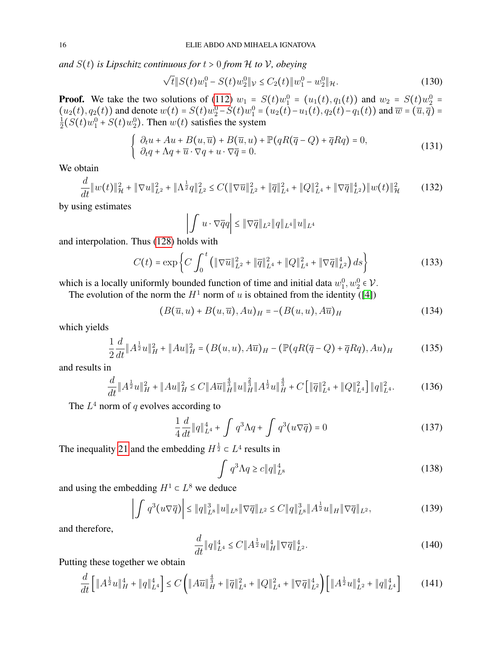*and*  $S(t)$  *is Lipschitz continuous for*  $t > 0$  *from*  $H$  *to*  $V$ *, obeying* 

<span id="page-15-5"></span>
$$
\sqrt{t} \| S(t) w_1^0 - S(t) w_2^0 \|_{\mathcal{V}} \le C_2(t) \| w_1^0 - w_2^0 \|_{\mathcal{H}}.
$$
\n(130)

**Proof.** We take the two solutions of [\(112\)](#page-13-1)  $w_1 = S(t)w_1^0 = (u_1(t), q_1(t))$  and  $w_2 = S(t)w_2^0 =$ 1 1001. We take the two solutions of (112)  $w_1^1 - S(t)w_1^0 = (u_1(t), q_1(t))$  and  $w_2^1 - S(t)w_2^0 -$ <br>  $(u_2(t), q_2(t))$  and denote  $w(t) = S(t)w_2^0 - S(t)w_1^0 = (u_2(t) - u_1(t), q_2(t) - q_1(t))$  and  $\overline{w} = (\overline{u}, \overline{q}) =$ <br>  $\frac{1}{2}(S(t)w_2^0 + S(t)w_1^0)$  $\frac{1}{2}(S(t)w_1^0 + S(t)w_2^0)$ . Then  $w(t)$  satisfies the system

<span id="page-15-6"></span>
$$
\begin{cases}\n\partial_t u + Au + B(u, \overline{u}) + B(\overline{u}, u) + \mathbb{P}(qR(\overline{q} - Q) + \overline{q}Rq) = 0, \\
\partial_t q + \Lambda q + \overline{u} \cdot \nabla q + u \cdot \nabla \overline{q} = 0.\n\end{cases}
$$
\n(131)

We obtain

<span id="page-15-1"></span>
$$
\frac{d}{dt} \|w(t)\|_{\mathcal{H}}^2 + \|\nabla u\|_{L^2}^2 + \|\Lambda^{\frac{1}{2}}q\|_{L^2}^2 \le C(\|\nabla \overline{u}\|_{L^2}^2 + \|\overline{q}\|_{L^4}^2 + \|Q\|_{L^4}^2 + \|\nabla \overline{q}\|_{L^2}^4) \|w(t)\|_{\mathcal{H}}^2 \tag{132}
$$

by using estimates

$$
\left| \int u \cdot \nabla \overline{q} q \right| \leq \| \nabla \overline{q} \|_{L^2} \| q \|_{L^4} \| u \|_{L^4}
$$

and interpolation. Thus [\(128\)](#page-14-4) holds with

$$
C(t) = \exp\left\{ C \int_0^t \left( \|\nabla \overline{u}\|_{L^2}^2 + \|\overline{q}\|_{L^4}^2 + \|Q\|_{L^4}^2 + \|\nabla \overline{q}\|_{L^2}^4 \right) ds \right\}
$$
(133)

which is a locally uniformly bounded function of time and initial data  $w_1^0, w_2^0 \in \mathcal{V}$ .

The evolution of the norm the  $H^1$  norm of u is obtained from the identity ([\[4\]](#page-24-5))

$$
(B(\overline{u},u) + B(u,\overline{u}),Au)_H = -(B(u,u),A\overline{u})_H
$$
\n(134)

which yields

<span id="page-15-0"></span>
$$
\frac{1}{2}\frac{d}{dt}\|A^{\frac{1}{2}}u\|_{H}^{2} + \|Au\|_{H}^{2} = (B(u,u), A\overline{u})_{H} - (\mathbb{P}(qR(\overline{q}-Q) + \overline{q}Rq), Au)_{H}
$$
(135)

and results in

$$
\frac{d}{dt} \|A^{\frac{1}{2}}u\|_{H}^{2} + \|Au\|_{H}^{2} \le C \|A\overline{u}\|_{H}^{\frac{4}{3}} \|u\|_{H}^{\frac{2}{3}} \|A^{\frac{1}{2}}u\|_{H}^{\frac{4}{3}} + C \left[\|\overline{q}\|_{L^{4}}^{2} + \|Q\|_{L^{4}}^{2}\right] \|q\|_{L^{4}}^{2}.
$$
 (136)

The  $L^4$  norm of q evolves according to

<span id="page-15-3"></span>
$$
\frac{1}{4}\frac{d}{dt}\|q\|_{L^{4}}^{4} + \int q^{3}\Lambda q + \int q^{3}(u\nabla \overline{q}) = 0
$$
\n(137)

The inequality [21](#page-3-2) and the embedding  $H^{\frac{1}{2}} \subset L^4$  results in

<span id="page-15-4"></span>
$$
\int q^3 \Lambda q \ge c \|q\|_{L^8}^4 \tag{138}
$$

and using the embedding  $H^1 \subset L^8$  we deduce

<span id="page-15-2"></span>
$$
\left| \int q^3(u\nabla \overline{q}) \right| \leq \|q\|_{L^8}^3 \|u\|_{L^8} \|\nabla \overline{q}\|_{L^2} \leq C \|q\|_{L^8}^3 \|A^{\frac{1}{2}}u\|_H \|\nabla \overline{q}\|_{L^2},\tag{139}
$$

and therefore,

$$
\frac{d}{dt} \|q\|_{L^4}^4 \le C \|A^{\frac{1}{2}}u\|_H^4 \|\nabla \overline{q}\|_{L^2}^4.
$$
\n(140)

Putting these together we obtain

$$
\frac{d}{dt}\left[\|A^{\frac{1}{2}}u\|_{H}^{4} + \|q\|_{L^{4}}^{4}\right] \leq C\left(\|A\overline{u}\|_{H}^{\frac{4}{3}} + \|\overline{q}\|_{L^{4}}^{2} + \|Q\|_{L^{4}}^{2} + \|\nabla\overline{q}\|_{L^{2}}^{4}\right)\left[\|A^{\frac{1}{2}}u\|_{L^{2}}^{4} + \|q\|_{L^{4}}^{4}\right] \tag{141}
$$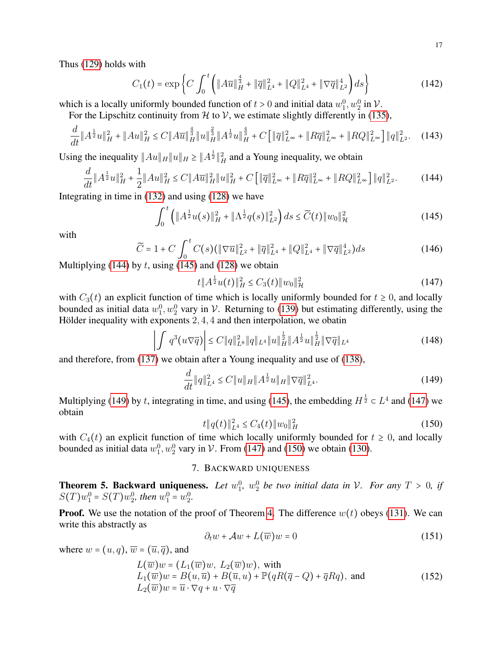Thus [\(129\)](#page-14-5) holds with

$$
C_1(t) = \exp\left\{C \int_0^t \left( \|A\overline{u}\|_H^{\frac{4}{3}} + \|\overline{q}\|_{L^4}^2 + \|Q\|_{L^4}^2 + \|\nabla \overline{q}\|_{L^2}^4 \right) ds \right\}
$$
(142)

which is a locally uniformly bounded function of  $t > 0$  and initial data  $w_1^0, w_2^0$  in  $\mathcal{V}$ .

For the Lipschitz continuity from  $H$  to  $V$ , we estimate slightly differently in [\(135\)](#page-15-0),

$$
\frac{d}{dt} \|A^{\frac{1}{2}}u\|_{H}^{2} + \|Au\|_{H}^{2} \le C \|A\overline{u}\|_{H}^{\frac{4}{3}} \|u\|_{H}^{\frac{2}{3}} \|A^{\frac{1}{2}}u\|_{H}^{\frac{4}{3}} + C \left[\|\overline{q}\|_{L^{\infty}}^{2} + \|R\overline{q}\|_{L^{\infty}}^{2} + \|RQ\|_{L^{\infty}}^{2}\right] \|q\|_{L^{2}}^{2}.
$$
 (143)

Using the inequality  $||Au||_H ||u||_H \ge ||A^{\frac{1}{2}}||_H^2$  and a Young inequality, we obtain

<span id="page-16-1"></span>
$$
\frac{d}{dt} \|A^{\frac{1}{2}}u\|_{H}^{2} + \frac{1}{2} \|Au\|_{H}^{2} \le C \|A\overline{u}\|_{H}^{2} \|u\|_{H}^{2} + C \Big[\|\overline{q}\|_{L^{\infty}}^{2} + \|R\overline{q}\|_{L^{\infty}}^{2} + \|RQ\|_{L^{\infty}}^{2}\Big] \|q\|_{L^{2}}^{2}.
$$
 (144)

Integrating in time in [\(132\)](#page-15-1) and using [\(128\)](#page-14-4) we have

<span id="page-16-2"></span>
$$
\int_0^t \left( \|A^{\frac{1}{2}}u(s)\|_{H}^2 + \|\Lambda^{\frac{1}{2}}q(s)\|_{L^2}^2 \right) ds \le \widetilde{C}(t) \|w_0\|_{\mathcal{H}}^2 \tag{145}
$$

with

$$
\widetilde{C} = 1 + C \int_0^t C(s) (\|\nabla \overline{u}\|_{L^2}^2 + \|\overline{q}\|_{L^4}^2 + \|Q\|_{L^4}^2 + \|\nabla \overline{q}\|_{L^2}^4) ds
$$
\n(146)

Multiplying [\(144\)](#page-16-1) by t, using [\(145\)](#page-16-2) and [\(128\)](#page-14-4) we obtain

<span id="page-16-4"></span>
$$
t \|A^{\frac{1}{2}}u(t)\|_{H}^{2} \leq C_{3}(t) \|w_{0}\|_{\mathcal{H}}^{2}
$$
\n(147)

with  $C_3(t)$  an explicit function of time which is locally uniformly bounded for  $t \ge 0$ , and locally bounded as initial data  $w_1^0, w_2^0$  vary in V. Returning to [\(139\)](#page-15-2) but estimating differently, using the Hölder inequality with exponents  $2, 4, 4$  and then interpolation, we obatin

$$
\left| \int q^3(u\nabla \overline{q}) \right| \le C \|q\|_{L^8}^2 \|q\|_{L^4} \|u\|_H^{\frac{1}{2}} \|A^{\frac{1}{2}}u\|_H^{\frac{1}{2}} \|\nabla \overline{q}\|_{L^4}
$$
\n(148)

and therefore, from [\(137\)](#page-15-3) we obtain after a Young inequality and use of [\(138\)](#page-15-4),

<span id="page-16-3"></span>
$$
\frac{d}{dt} \|q\|_{L^4}^2 \le C \|u\|_H \|A^{\frac{1}{2}} u\|_H \|\nabla \overline{q}\|_{L^4}^2. \tag{149}
$$

Multiplying [\(149\)](#page-16-3) by t, integrating in time, and using [\(145\)](#page-16-2), the embedding  $H^{\frac{1}{2}} \subset L^4$  and [\(147\)](#page-16-4) we obtain

<span id="page-16-5"></span>
$$
t \|q(t)\|_{L^4}^2 \le C_4(t) \|w_0\|_H^2 \tag{150}
$$

with  $C_4(t)$  an explicit function of time which locally uniformly bounded for  $t \ge 0$ , and locally bounded as initial data  $w_1^0, w_2^0$  vary in  $\mathcal V$ . From [\(147\)](#page-16-4) and [\(150\)](#page-16-5) we obtain [\(130\)](#page-15-5).

#### 7. BACKWARD UNIQUENESS

<span id="page-16-7"></span><span id="page-16-0"></span>**Theorem 5. Backward uniqueness.** Let  $w_1^0$ ,  $w_2^0$  be two initial data in V. For any  $T > 0$ , if  $S(T)w_1^0 = S(T)w_2^0$ , then  $w_1^0 = w_2^0$ .

**Proof.** We use the notation of the proof of Theorem [4.](#page-14-6) The difference  $w(t)$  obeys [\(131\)](#page-15-6). We can write this abstractly as

<span id="page-16-6"></span>
$$
\partial_t w + \mathcal{A}w + L(\overline{w})w = 0 \tag{151}
$$

where  $w = (u, q)$ ,  $\overline{w} = (\overline{u}, \overline{q})$ , and

$$
L(\overline{w})w = (L_1(\overline{w})w, L_2(\overline{w})w), \text{ with}
$$
  
\n
$$
L_1(\overline{w})w = B(u, \overline{u}) + B(\overline{u}, u) + \mathbb{P}(qR(\overline{q} - Q) + \overline{q}Rq), \text{ and}
$$
  
\n
$$
L_2(\overline{w})w = \overline{u} \cdot \nabla q + u \cdot \nabla \overline{q}
$$
\n(152)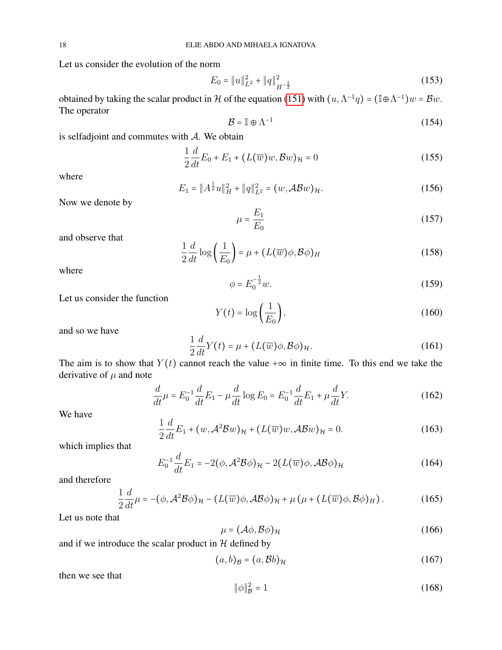Let us consider the evolution of the norm

$$
E_0 = ||u||_{L^2}^2 + ||q||_{H^{-\frac{1}{2}}}^2
$$
\n(153)

obtained by taking the scalar product in H of the equation [\(151\)](#page-16-6) with  $(u, \Lambda^{-1}q) = (\mathbb{I} \oplus \Lambda^{-1})w = Bw$ . The operator

$$
\mathcal{B} = \mathbb{I} \oplus \Lambda^{-1} \tag{154}
$$

is selfadjoint and commutes with  $A$ . We obtain

$$
\frac{1}{2}\frac{d}{dt}E_0 + E_1 + (L(\overline{w})w, \mathcal{B}w)_{\mathcal{H}} = 0
$$
\n(155)

where

$$
E_1 = ||A^{\frac{1}{2}}u||_H^2 + ||q||_{L^2}^2 = (w, \mathcal{AB}w)_{\mathcal{H}}.
$$
 (156)

Now we denote by

$$
\mu = \frac{E_1}{E_0} \tag{157}
$$

and observe that

$$
\frac{1}{2}\frac{d}{dt}\log\left(\frac{1}{E_0}\right) = \mu + (L(\overline{w})\phi, \mathcal{B}\phi)_H
$$
\n(158)

where

$$
\phi = E_0^{-\frac{1}{2}} w.
$$
\n(159)

Let us consider the function

$$
Y(t) = \log\left(\frac{1}{E_0}\right),\tag{160}
$$

and so we have

<span id="page-17-1"></span>
$$
\frac{1}{2}\frac{d}{dt}Y(t) = \mu + (L(\overline{w})\phi, \mathcal{B}\phi)_{\mathcal{H}}.
$$
\n(161)

The aim is to show that  $Y(t)$  cannot reach the value + $\infty$  in finite time. To this end we take the derivative of  $\mu$  and note

$$
\frac{d}{dt}\mu = E_0^{-1}\frac{d}{dt}E_1 - \mu\frac{d}{dt}\log E_0 = E_0^{-1}\frac{d}{dt}E_1 + \mu\frac{d}{dt}Y.
$$
\n(162)

We have

$$
\frac{1}{2}\frac{d}{dt}E_1 + (w, \mathcal{A}^2 \mathcal{B}w)_{\mathcal{H}} + (L(\overline{w})w, \mathcal{A}\mathcal{B}w)_{\mathcal{H}} = 0.
$$
 (163)

which implies that

$$
E_0^{-1}\frac{d}{dt}E_1 = -2(\phi, \mathcal{A}^2\mathcal{B}\phi)_{\mathcal{H}} - 2(L(\overline{w})\phi, \mathcal{A}\mathcal{B}\phi)_{\mathcal{H}}
$$
(164)

and therefore

<span id="page-17-0"></span>
$$
\frac{1}{2}\frac{d}{dt}\mu = -(\phi, \mathcal{A}^2\mathcal{B}\phi)_{\mathcal{H}} - (L(\overline{w})\phi, \mathcal{A}\mathcal{B}\phi)_{\mathcal{H}} + \mu(\mu + (L(\overline{w})\phi, \mathcal{B}\phi)_{H}).
$$
\n(165)

Let us note that

$$
\mu = (\mathcal{A}\phi, \mathcal{B}\phi)_{\mathcal{H}} \tag{166}
$$

and if we introduce the scalar product in  $H$  defined by

$$
(a,b)_{\mathcal{B}} = (a,\mathcal{B}b)_{\mathcal{H}} \tag{167}
$$

then we see that

$$
\|\phi\|_{\mathcal{B}}^2 = 1\tag{168}
$$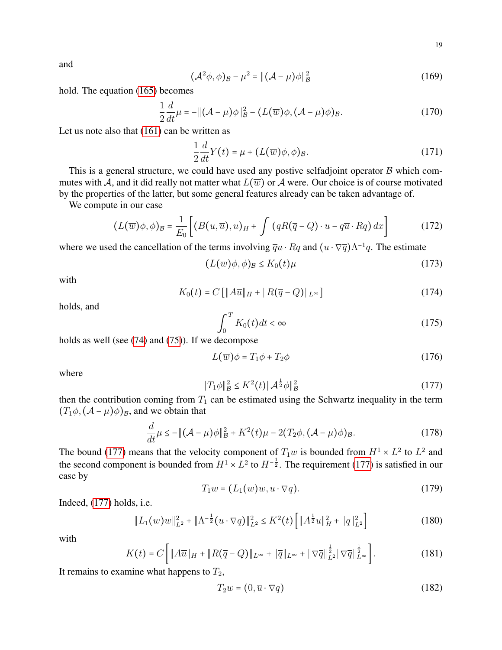and

$$
(\mathcal{A}^2 \phi, \phi)_{\mathcal{B}} - \mu^2 = \|(\mathcal{A} - \mu)\phi\|_{\mathcal{B}}^2 \tag{169}
$$

hold. The equation [\(165\)](#page-17-0) becomes

$$
\frac{1}{2}\frac{d}{dt}\mu = -\|(\mathcal{A} - \mu)\phi\|_{\mathcal{B}}^2 - (L(\overline{w})\phi, (\mathcal{A} - \mu)\phi)_{\mathcal{B}}.
$$
\n(170)

Let us note also that [\(161\)](#page-17-1) can be written as

$$
\frac{1}{2}\frac{d}{dt}Y(t) = \mu + (L(\overline{w})\phi, \phi)_{\mathcal{B}}.
$$
\n(171)

This is a general structure, we could have used any postive selfadjoint operator  $\beta$  which commutes with A, and it did really not matter what  $L(\overline{w})$  or A were. Our choice is of course motivated by the properties of the latter, but some general features already can be taken advantage of.

We compute in our case

$$
(L(\overline{w})\phi,\phi)_{\mathcal{B}} = \frac{1}{E_0} \left[ (B(u,\overline{u}),u)_H + \int (qR(\overline{q}-Q) \cdot u - q\overline{u} \cdot Rq) dx \right]
$$
(172)

where we used the cancellation of the terms involving  $\overline{q}u \cdot Rq$  and  $(u \cdot \nabla \overline{q})\Lambda^{-1}q$ . The estimate

<span id="page-18-2"></span>
$$
(L(\overline{w})\phi,\phi)_{\mathcal{B}} \leq K_0(t)\mu\tag{173}
$$

with

$$
K_0(t) = C \left[ \|A\overline{u}\|_H + \|R(\overline{q} - Q)\|_{L^\infty} \right]
$$
 (174)

holds, and

<span id="page-18-3"></span>
$$
\int_0^T K_0(t)dt < \infty \tag{175}
$$

holds as well (see [\(74\)](#page-9-6) and [\(75\)](#page-9-5)). If we decompose

$$
L(\overline{w})\phi = T_1\phi + T_2\phi\tag{176}
$$

where

<span id="page-18-0"></span>
$$
||T_1\phi||^2_{\mathcal{B}} \le K^2(t) ||\mathcal{A}^{\frac{1}{2}}\phi||^2_{\mathcal{B}}
$$
 (177)

then the contribution coming from  $T_1$  can be estimated using the Schwartz inequality in the term  $(T_1\phi, (\mathcal{A} - \mu)\phi)_B$ , and we obtain that

<span id="page-18-1"></span>
$$
\frac{d}{dt}\mu \le -\|(\mathcal{A} - \mu)\phi\|_{\mathcal{B}}^2 + K^2(t)\mu - 2(T_2\phi, (\mathcal{A} - \mu)\phi)_{\mathcal{B}}.\tag{178}
$$

The bound [\(177\)](#page-18-0) means that the velocity component of  $T_1w$  is bounded from  $H^1 \times L^2$  to  $L^2$  and the second component is bounded from  $H^1 \times L^2$  to  $H^{-\frac{1}{2}}$ . The requirement [\(177\)](#page-18-0) is satisfied in our case by

$$
T_1 w = (L_1(\overline{w})w, u \cdot \nabla \overline{q}).
$$
\n(179)

Indeed, [\(177\)](#page-18-0) holds, i.e.

$$
||L_1(\overline{w})w||_{L^2}^2 + ||\Lambda^{-\frac{1}{2}}(u \cdot \nabla \overline{q})||_{L^2}^2 \le K^2(t) \left[ ||A^{\frac{1}{2}}u||_H^2 + ||q||_{L^2}^2 \right]
$$
(180)

with

$$
K(t) = C \left[ \|A\overline{u}\|_{H} + \|R(\overline{q} - Q)\|_{L^{\infty}} + \|\overline{q}\|_{L^{\infty}} + \|\nabla \overline{q}\|_{L^{2}}^{\frac{1}{2}} \|\nabla \overline{q}\|_{L^{\infty}}^{\frac{1}{2}} \right].
$$
 (181)

It remains to examine what happens to  $T_2$ ,

$$
T_2w = (0, \overline{u} \cdot \nabla q) \tag{182}
$$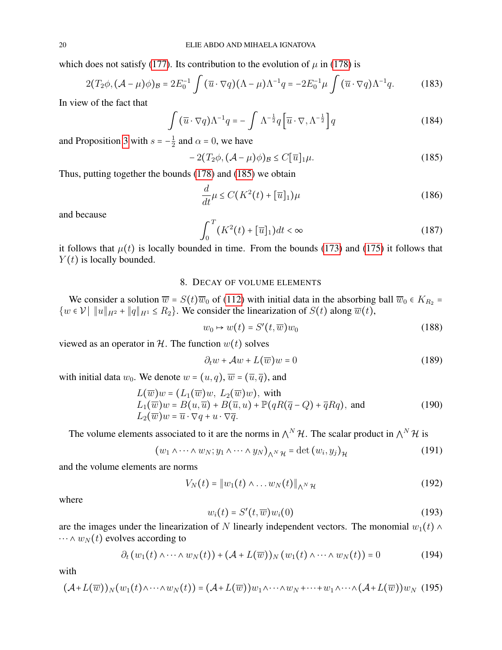which does not satisfy [\(177\)](#page-18-0). Its contribution to the evolution of  $\mu$  in [\(178\)](#page-18-1) is

$$
2(T_2\phi, (\mathcal{A} - \mu)\phi)_{\mathcal{B}} = 2E_0^{-1} \int (\overline{u} \cdot \nabla q)(\Lambda - \mu)\Lambda^{-1}q = -2E_0^{-1}\mu \int (\overline{u} \cdot \nabla q)\Lambda^{-1}q. \tag{183}
$$

In view of the fact that

$$
\int \left(\overline{u} \cdot \nabla q\right) \Lambda^{-1} q = -\int \Lambda^{-\frac{1}{2}} q \left[\overline{u} \cdot \nabla, \Lambda^{-\frac{1}{2}}\right] q \tag{184}
$$

and Proposition [3](#page-3-1) with  $s = -\frac{1}{2}$  $\frac{1}{2}$  and  $\alpha = 0$ , we have

<span id="page-19-1"></span>
$$
-2(T_2\phi, (\mathcal{A} - \mu)\phi)_{\mathcal{B}} \le C[\overline{u}]_1\mu.
$$
 (185)

Thus, putting together the bounds [\(178\)](#page-18-1) and [\(185\)](#page-19-1) we obtain

$$
\frac{d}{dt}\mu \le C\left(K^2(t) + [\overline{u}]_1\right)\mu\tag{186}
$$

and because

$$
\int_0^T (K^2(t) + [\overline{u}]_1) dt < \infty \tag{187}
$$

it follows that  $\mu(t)$  is locally bounded in time. From the bounds [\(173\)](#page-18-2) and [\(175\)](#page-18-3) it follows that  $Y(t)$  is locally bounded.

## 8. DECAY OF VOLUME ELEMENTS

<span id="page-19-0"></span>We consider a solution  $\overline{w} = S(t)\overline{w}_0$  of [\(112\)](#page-13-1) with initial data in the absorbing ball  $\overline{w}_0 \in K_{R_2}$  $\{w \in \mathcal{V} \mid ||u||_{H^2} + ||q||_{H^1} \le R_2\}$ . We consider the linearization of  $S(t)$  along  $\overline{w}(t)$ ,

$$
w_0 \mapsto w(t) = S'(t, \overline{w})w_0 \tag{188}
$$

viewed as an operator in  $H$ . The function  $w(t)$  solves

$$
\partial_t w + \mathcal{A}w + L(\overline{w})w = 0 \tag{189}
$$

with initial data  $w_0$ . We denote  $w = (u, q)$ ,  $\overline{w} = (\overline{u}, \overline{q})$ , and

$$
L(\overline{w})w = (L_1(\overline{w})w, L_2(\overline{w})w), \text{ with}
$$
  
\n
$$
L_1(\overline{w})w = B(u, \overline{u}) + B(\overline{u}, u) + \mathbb{P}(qR(\overline{q} - Q) + \overline{q}Rq), \text{ and}
$$
  
\n
$$
L_2(\overline{w})w = \overline{u} \cdot \nabla q + u \cdot \nabla \overline{q}.
$$
\n(190)

The volume elements associated to it are the norms in  $\wedge^N \mathcal{H}$ . The scalar product in  $\wedge^N \mathcal{H}$  is

$$
(w_1 \wedge \cdots \wedge w_N; y_1 \wedge \cdots \wedge y_N)_{\wedge^N \mathcal{H}} = \det(w_i, y_j)_{\mathcal{H}}
$$
(191)

and the volume elements are norms

$$
V_N(t) = \|w_1(t) \wedge \ldots w_N(t)\|_{\Lambda^N \mathcal{H}}
$$
\n(192)

where

$$
w_i(t) = S'(t, \overline{w})w_i(0) \tag{193}
$$

are the images under the linearization of N linearly independent vectors. The monomial  $w_1(t) \wedge$  $\cdots \wedge w_N(t)$  evolves according to

$$
\partial_t (w_1(t) \wedge \dots \wedge w_N(t)) + (\mathcal{A} + L(\overline{w}))_N (w_1(t) \wedge \dots \wedge w_N(t)) = 0 \qquad (194)
$$

with

$$
(\mathcal{A}+L(\overline{w}))_N(w_1(t)\wedge\cdots\wedge w_N(t))=(\mathcal{A}+L(\overline{w}))w_1\wedge\cdots\wedge w_N+\cdots+w_1\wedge\cdots\wedge(\mathcal{A}+L(\overline{w}))w_N
$$
 (195)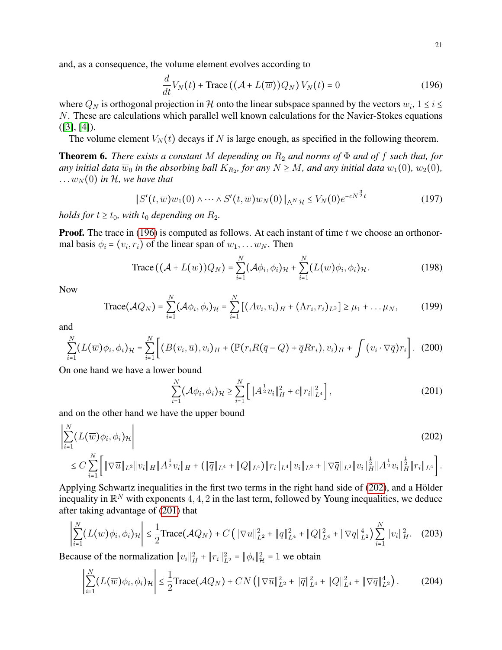21

and, as a consequence, the volume element evolves according to

<span id="page-20-0"></span>
$$
\frac{d}{dt}V_N(t) + \text{Trace}\left((\mathcal{A} + L(\overline{w}))Q_N\right)V_N(t) = 0\tag{196}
$$

where  $Q_N$  is orthogonal projection in H onto the linear subspace spanned by the vectors  $w_i$ ,  $1 \le i \le$ N. These are calculations which parallel well known calculations for the Navier-Stokes equations  $([3], [4])$  $([3], [4])$  $([3], [4])$  $([3], [4])$  $([3], [4])$ .

The volume element  $V_N(t)$  decays if N is large enough, as specified in the following theorem.

<span id="page-20-6"></span>**Theorem 6.** *There exists a constant* M *depending on*  $R_2$  *and norms of*  $\Phi$  *and of*  $f$  *such that, for* any initial data  $\overline{w}_0$  in the absorbing ball  $K_{R_2}$ , for any  $N \ge M$ , and any initial data  $w_1(0)$ ,  $w_2(0)$ ,  $\dots w_N(0)$  *in H, we have that* 

$$
\|S'(t,\overline{w})w_1(0)\wedge\cdots\wedge S'(t,\overline{w})w_N(0)\|_{\Lambda^N\mathcal{H}}\leq V_N(0)e^{-cN^{\frac{3}{2}}t}
$$
(197)

*holds for*  $t \geq t_0$ *, with*  $t_0$  *depending on*  $R_2$ *.* 

**Proof.** The trace in [\(196\)](#page-20-0) is computed as follows. At each instant of time  $t$  we choose an orthonormal basis  $\phi_i = (v_i, r_i)$  of the linear span of  $w_1, \dots w_N$ . Then

<span id="page-20-3"></span>Trace 
$$
((A + L(\overline{w}))Q_N)
$$
 =  $\sum_{i=1}^N (A\phi_i, \phi_i)_{\mathcal{H}} + \sum_{i=1}^N (L(\overline{w})\phi_i, \phi_i)_{\mathcal{H}}$ . (198)

Now

<span id="page-20-4"></span>Trace
$$
(AQ_N)
$$
 =  $\sum_{i=1}^{N} (A\phi_i, \phi_i)_{\mathcal{H}} = \sum_{i=1}^{N} [(Av_i, v_i)_{H} + (\Lambda r_i, r_i)_{L^2}] \ge \mu_1 + ... \mu_N,$  (199)

and

$$
\sum_{i=1}^{N} (L(\overline{w})\phi_i, \phi_i)_{\mathcal{H}} = \sum_{i=1}^{N} \bigg[ (B(v_i, \overline{u}), v_i)_{H} + (\mathbb{P}(r_i R(\overline{q} - Q) + \overline{q} R r_i), v_i)_{H} + \int (v_i \cdot \nabla \overline{q}) r_i \bigg]. \tag{200}
$$

On one hand we have a lower bound

<span id="page-20-2"></span><span id="page-20-1"></span>
$$
\sum_{i=1}^{N} (\mathcal{A}\phi_i, \phi_i)_{\mathcal{H}} \ge \sum_{i=1}^{N} \left[ \|A^{\frac{1}{2}}v_i\|_{H}^2 + c \|r_i\|_{L^4}^2 \right],\tag{201}
$$

and on the other hand we have the upper bound

$$
\left| \sum_{i=1}^{N} (L(\overline{w}) \phi_i, \phi_i)_{\mathcal{H}} \right|
$$
\n
$$
\leq C \sum_{i=1}^{N} \left[ \|\nabla \overline{u}\|_{L^2} \|v_i\|_{H} \|A^{\frac{1}{2}} v_i\|_{H} + (\|\overline{q}\|_{L^4} + \|Q\|_{L^4}) \|r_i\|_{L^4} \|v_i\|_{L^2} + \|\nabla \overline{q}\|_{L^2} \|v_i\|_{H}^{\frac{1}{2}} \|A^{\frac{1}{2}} v_i\|_{H}^{\frac{1}{2}} \|r_i\|_{L^4} \right].
$$
\n(202)

Applying Schwartz inequalities in the first two terms in the right hand side of [\(202\)](#page-20-1), and a Hölder inequality in  $\mathbb{R}^N$  with exponents 4, 4, 2 in the last term, followed by Young inequalities, we deduce after taking advantage of [\(201\)](#page-20-2) that

$$
\left| \sum_{i=1}^{N} (L(\overline{w})\phi_i, \phi_i)_{\mathcal{H}} \right| \leq \frac{1}{2} \text{Trace}(\mathcal{A}Q_N) + C \left( \|\nabla \overline{u}\|_{L^2}^2 + \|\overline{q}\|_{L^4}^2 + \|Q\|_{L^4}^2 + \|\nabla \overline{q}\|_{L^2}^4 \right) \sum_{i=1}^{N} \|v_i\|_{H}^2. \tag{203}
$$

Because of the normalization  $||v_i||_H^2 + ||r_i||_{L^2}^2 = ||\phi_i||_H^2 + ||v_i||_H^2$ 

<span id="page-20-5"></span>
$$
\left|\sum_{i=1}^{N} (L(\overline{w})\phi_i, \phi_i)_{\mathcal{H}}\right| \leq \frac{1}{2} \text{Trace}(\mathcal{A}Q_N) + CN\left(\|\nabla \overline{u}\|_{L^2}^2 + \|\overline{q}\|_{L^4}^2 + \|Q\|_{L^4}^2 + \|\nabla \overline{q}\|_{L^2}^4\right). \tag{204}
$$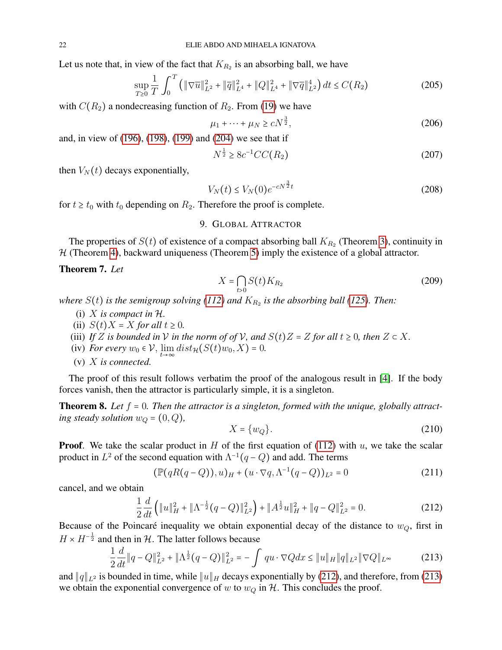Let us note that, in view of the fact that  $K_{R_2}$  is an absorbing ball, we have

$$
\sup_{T\geq 0} \frac{1}{T} \int_0^T \left( \|\nabla \overline{u}\|_{L^2}^2 + \|\overline{q}\|_{L^4}^2 + \|Q\|_{L^4}^2 + \|\nabla \overline{q}\|_{L^2}^4 \right) dt \leq C(R_2)
$$
\n(205)

with  $C(R_2)$  a nondecreasing function of  $R_2$ . From [\(19\)](#page-2-0) we have

$$
\mu_1 + \dots + \mu_N \ge cN^{\frac{3}{2}},\tag{206}
$$

and, in view of [\(196\)](#page-20-0), [\(198\)](#page-20-3), [\(199\)](#page-20-4) and [\(204\)](#page-20-5) we see that if

$$
N^{\frac{1}{2}} \ge 8c^{-1}CC(R_2)
$$
\n(207)

then  $V_N(t)$  decays exponentially,

$$
V_N(t) \le V_N(0)e^{-cN^{\frac{3}{2}}t}
$$
\n(208)

<span id="page-21-0"></span>for  $t \geq t_0$  with  $t_0$  depending on  $R_2$ . Therefore the proof is complete.

#### 9. GLOBAL ATTRACTOR

The properties of  $S(t)$  of existence of a compact absorbing ball  $K_{R_2}$  (Theorem [3\)](#page-14-7), continuity in  $H$  (Theorem [4\)](#page-14-6), backward uniqueness (Theorem [5\)](#page-16-7) imply the existence of a global attractor.

#### Theorem 7. *Let*

$$
X = \bigcap_{t>0} S(t)K_{R_2}
$$
\n(209)

*where*  $S(t)$  *is the semigroup solving* [\(112\)](#page-13-1) and  $K_{R_2}$  *is the absorbing ball* [\(125\)](#page-14-8). Then:

- (i) X *is compact in* H*.*
- (ii)  $S(t)X = X$  *for all*  $t \geq 0$ *.*
- (iii) *If Z* is bounded in *V* in the norm of of *V*, and  $S(t)Z = Z$  for all  $t \ge 0$ , then  $Z \subset X$ .
- (iv) *For every*  $w_0 \in V$ ,  $\lim_{t \to \infty} dist_{\mathcal{H}}(S(t)w_0, X) = 0$ .
- (v) X *is connected.*

The proof of this result follows verbatim the proof of the analogous result in [\[4\]](#page-24-5). If the body forces vanish, then the attractor is particularly simple, it is a singleton.

**Theorem 8.** Let  $f = 0$ . Then the attractor is a singleton, formed with the unique, globally attract*ing steady solution*  $w_Q = (0, Q)$ *,* 

$$
X = \{w_Q\}.\tag{210}
$$

**Proof.** We take the scalar product in  $H$  of the first equation of [\(112\)](#page-13-1) with  $u$ , we take the scalar product in  $L^2$  of the second equation with  $\Lambda^{-1}(q - Q)$  and add. The terms

$$
(\mathbb{P}(qR(q-Q)),u)_H + (u \cdot \nabla q, \Lambda^{-1}(q-Q))_{L^2} = 0
$$
\n(211)

cancel, and we obtain

<span id="page-21-1"></span>
$$
\frac{1}{2}\frac{d}{dt}\left(\|u\|_{H}^{2}+\|\Lambda^{-\frac{1}{2}}(q-Q)\|_{L^{2}}^{2}\right)+\|A^{\frac{1}{2}}u\|_{H}^{2}+\|q-Q\|_{L^{2}}^{2}=0.\tag{212}
$$

Because of the Poincaré inequality we obtain exponential decay of the distance to  $w_Q$ , first in  $H \times H^{-\frac{1}{2}}$  and then in H. The latter follows because

<span id="page-21-2"></span>
$$
\frac{1}{2}\frac{d}{dt}\|q - Q\|_{L^2}^2 + \|\Lambda^{\frac{1}{2}}(q - Q)\|_{L^2}^2 = -\int q u \cdot \nabla Q dx \le \|u\|_{H} \|q\|_{L^2} \|\nabla Q\|_{L^\infty}
$$
(213)

and  $||q||_{L^2}$  is bounded in time, while  $||u||_H$  decays exponentially by [\(212\)](#page-21-1), and therefore, from [\(213\)](#page-21-2) we obtain the exponential convergence of w to  $w_Q$  in H. This concludes the proof.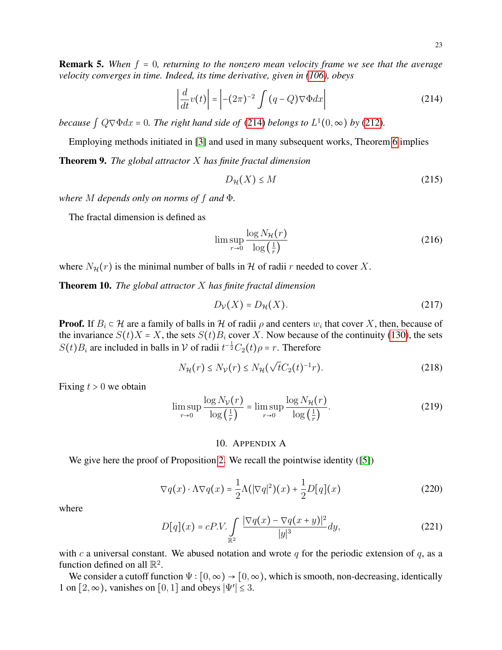**Remark 5.** When  $f = 0$ , returning to the nonzero mean velocity frame we see that the average *velocity converges in time. Indeed, its time derivative, given in [\(106\)](#page-12-4), obeys* 

<span id="page-22-0"></span>
$$
\left| \frac{d}{dt} v(t) \right| = \left| -(2\pi)^{-2} \int (q - Q) \nabla \Phi dx \right| \tag{214}
$$

*because*  $\int Q \nabla \Phi dx = 0$ *. The right hand side of* [\(214\)](#page-22-0) *belongs to*  $L^1(0, \infty)$  *by* [\(212\)](#page-21-1)*.* 

Employing methods initiated in [\[3\]](#page-24-4) and used in many subsequent works, Theorem [6](#page-20-6) implies

Theorem 9. *The global attractor* X *has finite fractal dimension*

$$
D_{\mathcal{H}}(X) \le M \tag{215}
$$

*where* M *depends only on norms of* f *and* Φ*.*

The fractal dimension is defined as

$$
\limsup_{r \to 0} \frac{\log N_{\mathcal{H}}(r)}{\log \left(\frac{1}{r}\right)}\tag{216}
$$

where  $N_{\mathcal{H}}(r)$  is the minimal number of balls in H of radii r needed to cover X.

Theorem 10. *The global attractor* X *has finite fractal dimension*

$$
D_{\mathcal{V}}(X) = D_{\mathcal{H}}(X). \tag{217}
$$

**Proof.** If  $B_i \subset \mathcal{H}$  are a family of balls in  $\mathcal{H}$  of radii  $\rho$  and centers  $w_i$  that cover X, then, because of the invariance  $S(t)X = X$ , the sets  $S(t)B_i$  cover X. Now because of the continuity [\(130\)](#page-15-5), the sets  $S(t)B_i$  are included in balls in  $\mathcal V$  of radii  $t^{-\frac{1}{2}}C_2(t)\rho = r$ . Therefore

$$
N_{\mathcal{H}}(r) \le N_{\mathcal{V}}(r) \le N_{\mathcal{H}}(\sqrt{t}C_2(t)^{-1}r). \tag{218}
$$

Fixing  $t > 0$  we obtain

$$
\limsup_{r \to 0} \frac{\log N_{\mathcal{V}}(r)}{\log \left(\frac{1}{r}\right)} = \limsup_{r \to 0} \frac{\log N_{\mathcal{H}}(r)}{\log \left(\frac{1}{r}\right)}.
$$
\n(219)

## 10. APPENDIX A

We give here the proof of Proposition [2.](#page-3-0) We recall the pointwise identity ([\[5\]](#page-24-11))

$$
\nabla q(x) \cdot \Lambda \nabla q(x) = \frac{1}{2} \Lambda (|\nabla q|^2)(x) + \frac{1}{2} D[q](x)
$$
 (220)

where

$$
D[q](x) = cP.V. \int_{\mathbb{R}^2} \frac{|\nabla q(x) - \nabla q(x+y)|^2}{|y|^3} dy,
$$
 (221)

with c a universal constant. We abused notation and wrote  $q$  for the periodic extension of  $q$ , as a function defined on all  $\mathbb{R}^2$ .

We consider a cutoff function  $\Psi : [0, \infty) \to [0, \infty)$ , which is smooth, non-decreasing, identically 1 on  $[2, \infty)$ , vanishes on  $[0, 1]$  and obeys  $|\Psi'| \le 3$ .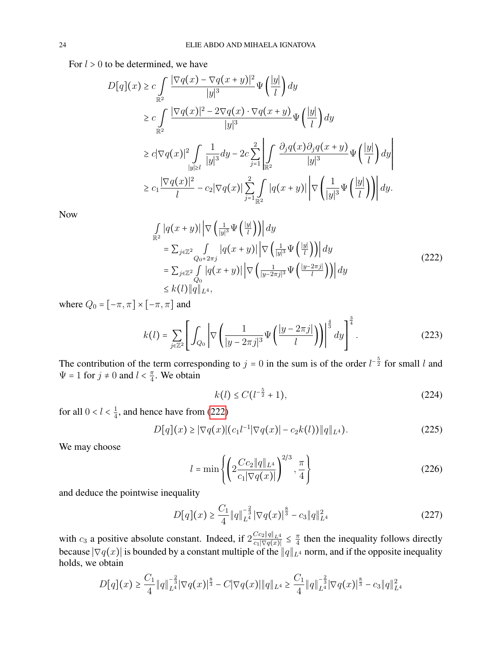For  $l > 0$  to be determined, we have

$$
D[q](x) \geq c \int_{\mathbb{R}^2} \frac{|\nabla q(x) - \nabla q(x+y)|^2}{|y|^3} \Psi\left(\frac{|y|}{l}\right) dy
$$
  
\n
$$
\geq c \int_{\mathbb{R}^2} \frac{|\nabla q(x)|^2 - 2\nabla q(x) \cdot \nabla q(x+y)}{|y|^3} \Psi\left(\frac{|y|}{l}\right) dy
$$
  
\n
$$
\geq c |\nabla q(x)|^2 \int_{|y| \geq l} \frac{1}{|y|^3} dy - 2c \sum_{j=1}^2 \left| \int_{\mathbb{R}^2} \frac{\partial_j q(x) \partial_j q(x+y)}{|y|^3} \Psi\left(\frac{|y|}{l}\right) dy \right|
$$
  
\n
$$
\geq c_1 \frac{|\nabla q(x)|^2}{l} - c_2 |\nabla q(x)| \sum_{j=1}^2 \int_{\mathbb{R}^2} |q(x+y)| \left| \nabla \left(\frac{1}{|y|^3} \Psi\left(\frac{|y|}{l}\right) \right) \right| dy.
$$

Now

<span id="page-23-0"></span>
$$
\int_{\mathbb{R}^2} |q(x+y)| \left| \nabla \left( \frac{1}{|y|^3} \Psi \left( \frac{|y|}{l} \right) \right) \right| dy
$$
\n
$$
= \sum_{j \in \mathbb{Z}^2} \int_{Q_0 + 2\pi j} |q(x+y)| \left| \nabla \left( \frac{1}{|y|^3} \Psi \left( \frac{|y|}{l} \right) \right) \right| dy
$$
\n
$$
= \sum_{j \in \mathbb{Z}^2} \int_{Q_0} |q(x+y)| \left| \nabla \left( \frac{1}{|y-2\pi j|^3} \Psi \left( \frac{|y-2\pi j|}{l} \right) \right) \right| dy
$$
\n
$$
\leq k(l) \|q\|_{L^4}, \tag{222}
$$

where  $Q_0 = [-\pi, \pi] \times [-\pi, \pi]$  and

$$
k(l) = \sum_{j \in \mathbb{Z}^2} \left[ \int_{Q_0} \left| \nabla \left( \frac{1}{|y - 2\pi j|^3} \Psi \left( \frac{|y - 2\pi j|}{l} \right) \right) \right|^{\frac{4}{3}} dy \right]^{\frac{3}{4}}.
$$
 (223)

The contribution of the term corresponding to  $j = 0$  in the sum is of the order  $l^{-\frac{5}{2}}$  for small l and  $\Psi = 1$  for  $j \neq 0$  and  $l < \frac{\pi}{4}$  $\frac{\pi}{4}$ . We obtain

$$
k(l) \le C(l^{-\frac{5}{2}} + 1),\tag{224}
$$

for all  $0 < l < \frac{1}{4}$  $\frac{1}{4}$ , and hence have from [\(222\)](#page-23-0)

$$
D[q](x) \ge |\nabla q(x)| (c_1 l^{-1} |\nabla q(x)| - c_2 k(l)) ||q||_{L^4}).
$$
\n(225)

We may choose

$$
l = \min\left\{ \left( 2 \frac{Cc_2 \|q\|_{L^4}}{c_1 |\nabla q(x)|} \right)^{2/3}, \frac{\pi}{4} \right\}
$$
 (226)

and deduce the pointwise inequality

$$
D[q](x) \ge \frac{C_1}{4} ||q||_{L^4}^{-\frac{2}{3}} |\nabla q(x)|^{\frac{8}{3}} - c_3 ||q||_{L^4}^2 \tag{227}
$$

with  $c_3$  a positive absolute constant. Indeed, if  $2 \frac{Cc_2 ||q||_{L^4}}{c_1 |\nabla q(x)|} \leq \frac{\pi}{4}$  $\frac{\pi}{4}$  then the inequality follows directly because  $|\nabla q(x)|$  is bounded by a constant multiple of the  $\|q\|_{L^4}$  norm, and if the opposite inequality holds, we obtain

$$
D[q](x) \ge \frac{C_1}{4} ||q||_{L^4}^{-\frac{2}{3}} |\nabla q(x)|^{\frac{8}{3}} - C |\nabla q(x)| ||q||_{L^4} \ge \frac{C_1}{4} ||q||_{L^4}^{-\frac{2}{3}} |\nabla q(x)|^{\frac{8}{3}} - c_3 ||q||_{L^4}^2
$$